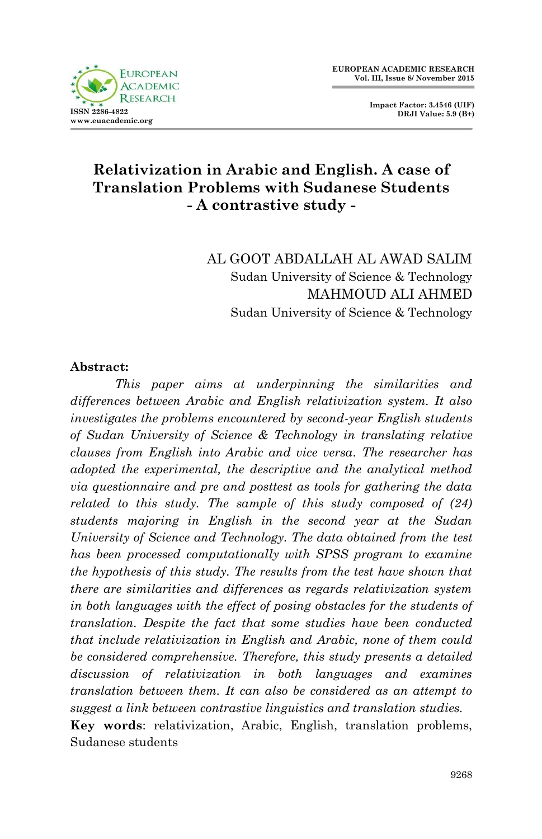

## **Relativization in Arabic and English. A case of Translation Problems with Sudanese Students - A contrastive study -**

AL GOOT ABDALLAH AL AWAD SALIM Sudan University of Science & Technology MAHMOUD ALI AHMED Sudan University of Science & Technology

#### **Abstract:**

*This paper aims at underpinning the similarities and differences between Arabic and English relativization system. It also investigates the problems encountered by second-year English students of Sudan University of Science & Technology in translating relative clauses from English into Arabic and vice versa. The researcher has adopted the experimental, the descriptive and the analytical method via questionnaire and pre and posttest as tools for gathering the data related to this study. The sample of this study composed of (24) students majoring in English in the second year at the Sudan University of Science and Technology. The data obtained from the test has been processed computationally with SPSS program to examine the hypothesis of this study. The results from the test have shown that there are similarities and differences as regards relativization system in both languages with the effect of posing obstacles for the students of translation. Despite the fact that some studies have been conducted that include relativization in English and Arabic, none of them could be considered comprehensive. Therefore, this study presents a detailed discussion of relativization in both languages and examines translation between them. It can also be considered as an attempt to suggest a link between contrastive linguistics and translation studies.* **Key words**: relativization, Arabic, English, translation problems, Sudanese students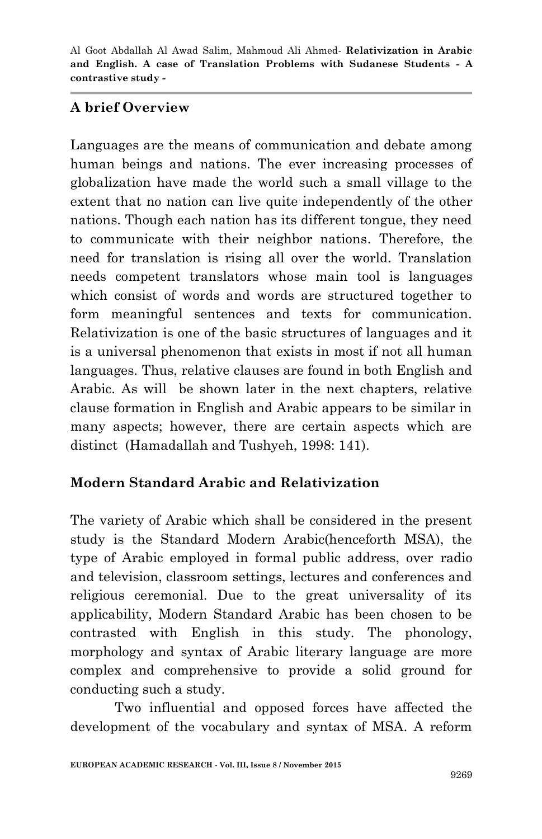#### **A brief Overview**

Languages are the means of communication and debate among human beings and nations. The ever increasing processes of globalization have made the world such a small village to the extent that no nation can live quite independently of the other nations. Though each nation has its different tongue, they need to communicate with their neighbor nations. Therefore, the need for translation is rising all over the world. Translation needs competent translators whose main tool is languages which consist of words and words are structured together to form meaningful sentences and texts for communication. Relativization is one of the basic structures of languages and it is a universal phenomenon that exists in most if not all human languages. Thus, relative clauses are found in both English and Arabic. As will be shown later in the next chapters, relative clause formation in English and Arabic appears to be similar in many aspects; however, there are certain aspects which are distinct (Hamadallah and Tushyeh, 1998: 141).

## **Modern Standard Arabic and Relativization**

The variety of Arabic which shall be considered in the present study is the Standard Modern Arabic(henceforth MSA), the type of Arabic employed in formal public address, over radio and television, classroom settings, lectures and conferences and religious ceremonial. Due to the great universality of its applicability, Modern Standard Arabic has been chosen to be contrasted with English in this study. The phonology, morphology and syntax of Arabic literary language are more complex and comprehensive to provide a solid ground for conducting such a study.

Two influential and opposed forces have affected the development of the vocabulary and syntax of MSA. A reform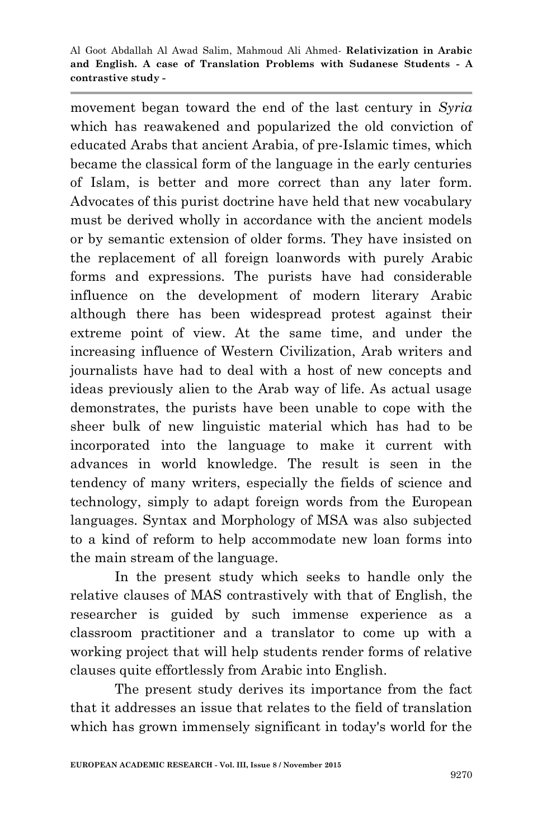movement began toward the end of the last century in *Syria* which has reawakened and popularized the old conviction of educated Arabs that ancient Arabia, of pre-Islamic times, which became the classical form of the language in the early centuries of Islam, is better and more correct than any later form. Advocates of this purist doctrine have held that new vocabulary must be derived wholly in accordance with the ancient models or by semantic extension of older forms. They have insisted on the replacement of all foreign loanwords with purely Arabic forms and expressions. The purists have had considerable influence on the development of modern literary Arabic although there has been widespread protest against their extreme point of view. At the same time, and under the increasing influence of Western Civilization, Arab writers and journalists have had to deal with a host of new concepts and ideas previously alien to the Arab way of life. As actual usage demonstrates, the purists have been unable to cope with the sheer bulk of new linguistic material which has had to be incorporated into the language to make it current with advances in world knowledge. The result is seen in the tendency of many writers, especially the fields of science and technology, simply to adapt foreign words from the European languages. Syntax and Morphology of MSA was also subjected to a kind of reform to help accommodate new loan forms into the main stream of the language.

In the present study which seeks to handle only the relative clauses of MAS contrastively with that of English, the researcher is guided by such immense experience as a classroom practitioner and a translator to come up with a working project that will help students render forms of relative clauses quite effortlessly from Arabic into English.

The present study derives its importance from the fact that it addresses an issue that relates to the field of translation which has grown immensely significant in today's world for the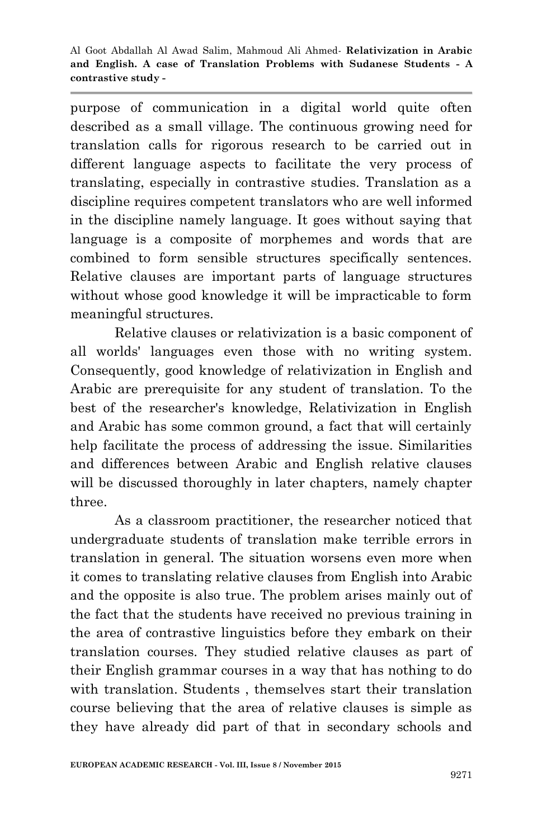purpose of communication in a digital world quite often described as a small village. The continuous growing need for translation calls for rigorous research to be carried out in different language aspects to facilitate the very process of translating, especially in contrastive studies. Translation as a discipline requires competent translators who are well informed in the discipline namely language. It goes without saying that language is a composite of morphemes and words that are combined to form sensible structures specifically sentences. Relative clauses are important parts of language structures without whose good knowledge it will be impracticable to form meaningful structures.

Relative clauses or relativization is a basic component of all worlds' languages even those with no writing system. Consequently, good knowledge of relativization in English and Arabic are prerequisite for any student of translation. To the best of the researcher's knowledge, Relativization in English and Arabic has some common ground, a fact that will certainly help facilitate the process of addressing the issue. Similarities and differences between Arabic and English relative clauses will be discussed thoroughly in later chapters, namely chapter three.

As a classroom practitioner, the researcher noticed that undergraduate students of translation make terrible errors in translation in general. The situation worsens even more when it comes to translating relative clauses from English into Arabic and the opposite is also true. The problem arises mainly out of the fact that the students have received no previous training in the area of contrastive linguistics before they embark on their translation courses. They studied relative clauses as part of their English grammar courses in a way that has nothing to do with translation. Students , themselves start their translation course believing that the area of relative clauses is simple as they have already did part of that in secondary schools and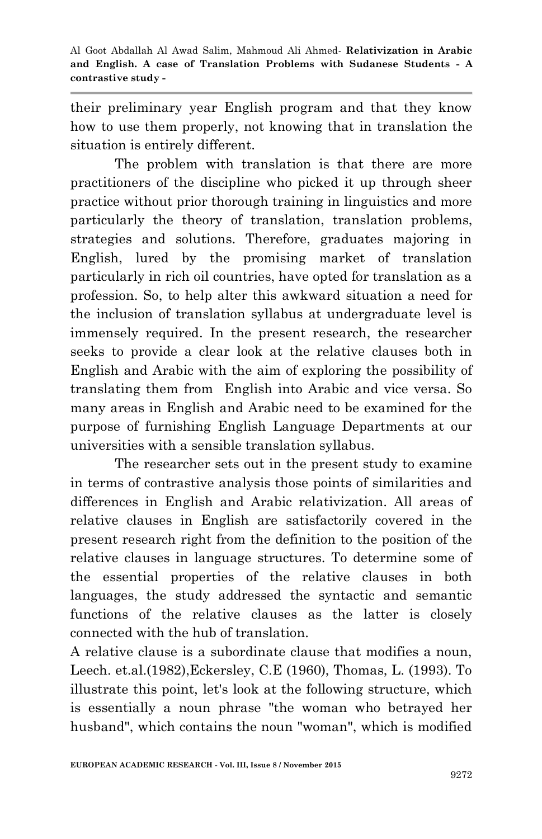their preliminary year English program and that they know how to use them properly, not knowing that in translation the situation is entirely different.

The problem with translation is that there are more practitioners of the discipline who picked it up through sheer practice without prior thorough training in linguistics and more particularly the theory of translation, translation problems, strategies and solutions. Therefore, graduates majoring in English, lured by the promising market of translation particularly in rich oil countries, have opted for translation as a profession. So, to help alter this awkward situation a need for the inclusion of translation syllabus at undergraduate level is immensely required. In the present research, the researcher seeks to provide a clear look at the relative clauses both in English and Arabic with the aim of exploring the possibility of translating them from English into Arabic and vice versa. So many areas in English and Arabic need to be examined for the purpose of furnishing English Language Departments at our universities with a sensible translation syllabus.

The researcher sets out in the present study to examine in terms of contrastive analysis those points of similarities and differences in English and Arabic relativization. All areas of relative clauses in English are satisfactorily covered in the present research right from the definition to the position of the relative clauses in language structures. To determine some of the essential properties of the relative clauses in both languages, the study addressed the syntactic and semantic functions of the relative clauses as the latter is closely connected with the hub of translation.

A relative clause is a subordinate clause that modifies a noun, Leech. et.al.(1982),Eckersley, C.E (1960), Thomas, L. (1993). To illustrate this point, let's look at the following structure, which is essentially a noun phrase "the woman who betrayed her husband", which contains the noun "woman", which is modified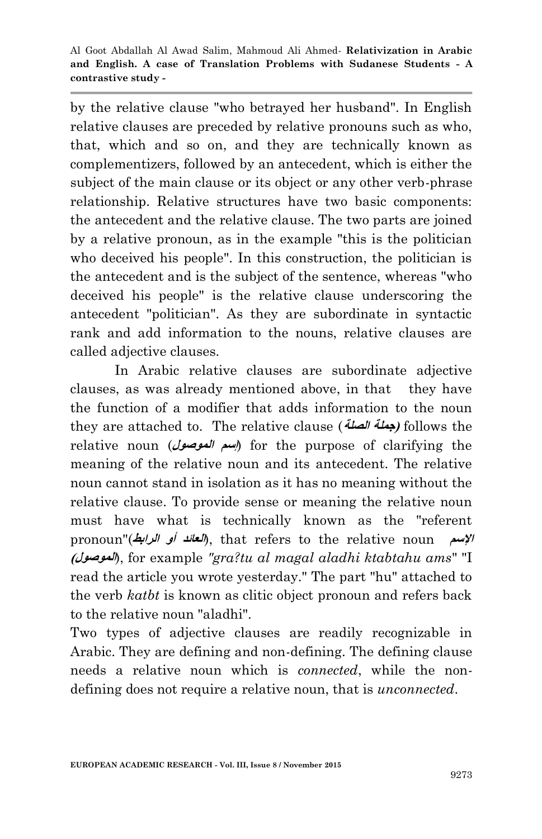by the relative clause "who betrayed her husband". In English relative clauses are preceded by relative pronouns such as who, that, which and so on, and they are technically known as complementizers, followed by an antecedent, which is either the subject of the main clause or its object or any other verb-phrase relationship. Relative structures have two basic components: the antecedent and the relative clause. The two parts are joined by a relative pronoun, as in the example "this is the politician who deceived his people". In this construction, the politician is the antecedent and is the subject of the sentence, whereas "who deceived his people" is the relative clause underscoring the antecedent "politician". As they are subordinate in syntactic rank and add information to the nouns, relative clauses are called adjective clauses.

In Arabic relative clauses are subordinate adjective clauses, as was already mentioned above, in that they have the function of a modifier that adds information to the noun they are attached to. The relative clause (**انصهة هةًج )**follows the relative noun (**وصولًان إسى** (for the purpose of clarifying the meaning of the relative noun and its antecedent. The relative noun cannot stand in isolation as it has no meaning without the relative clause. To provide sense or meaning the relative noun must have what is technically known as the "referent pronoun"(**انساتط أو انعائد**(, that refers to the relative noun **اإلسى )وصولًان**(, for example *"gra?tu al magal aladhi ktabtahu ams*" "I read the article you wrote yesterday." The part "hu" attached to the verb *katbt* is known as clitic object pronoun and refers back to the relative noun "aladhi".

Two types of adjective clauses are readily recognizable in Arabic. They are defining and non-defining. The defining clause needs a relative noun which is *connected*, while the nondefining does not require a relative noun, that is *unconnected*.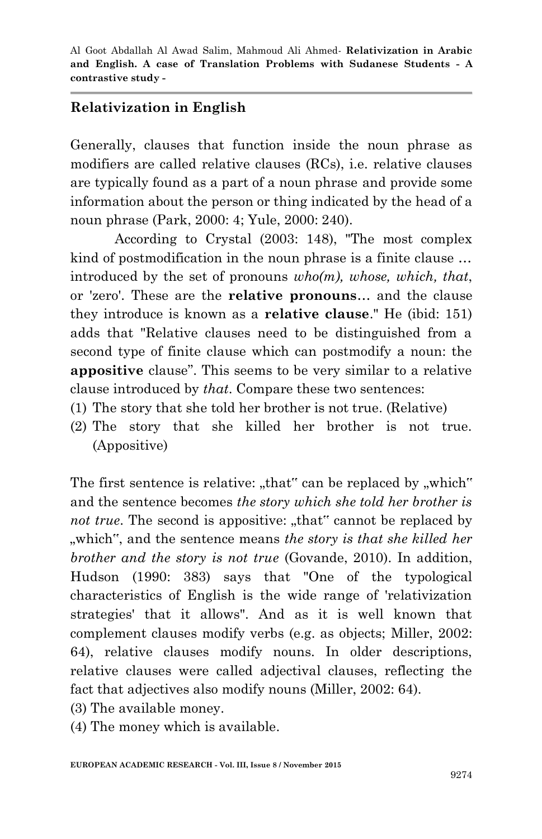#### **Relativization in English**

Generally, clauses that function inside the noun phrase as modifiers are called relative clauses (RCs), i.e. relative clauses are typically found as a part of a noun phrase and provide some information about the person or thing indicated by the head of a noun phrase (Park, 2000: 4; Yule, 2000: 240).

According to Crystal (2003: 148), "The most complex kind of postmodification in the noun phrase is a finite clause … introduced by the set of pronouns *who(m), whose, which, that*, or 'zero'. These are the **relative pronouns**… and the clause they introduce is known as a **relative clause**." He (ibid: 151) adds that "Relative clauses need to be distinguished from a second type of finite clause which can postmodify a noun: the **appositive** clause". This seems to be very similar to a relative clause introduced by *that*. Compare these two sentences:

- (1) The story that she told her brother is not true. (Relative)
- (2) The story that she killed her brother is not true. (Appositive)

The first sentence is relative: "that" can be replaced by "which" and the sentence becomes *the story which she told her brother is not true*. The second is appositive: "that" cannot be replaced by which", and the sentence means *the story is that she killed her brother and the story is not true* (Govande, 2010). In addition, Hudson (1990: 383) says that "One of the typological characteristics of English is the wide range of 'relativization strategies' that it allows". And as it is well known that complement clauses modify verbs (e.g. as objects; Miller, 2002: 64), relative clauses modify nouns. In older descriptions, relative clauses were called adjectival clauses, reflecting the fact that adjectives also modify nouns (Miller, 2002: 64).

- (3) The available money.
- (4) The money which is available.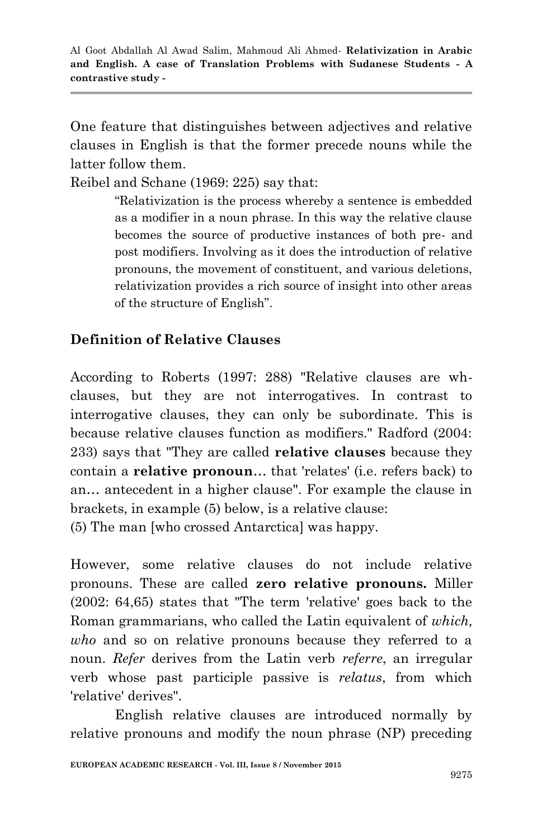One feature that distinguishes between adjectives and relative clauses in English is that the former precede nouns while the latter follow them.

Reibel and Schane (1969: 225) say that:

"Relativization is the process whereby a sentence is embedded as a modifier in a noun phrase. In this way the relative clause becomes the source of productive instances of both pre- and post modifiers. Involving as it does the introduction of relative pronouns, the movement of constituent, and various deletions, relativization provides a rich source of insight into other areas of the structure of English".

#### **Definition of Relative Clauses**

According to Roberts (1997: 288) "Relative clauses are whclauses, but they are not interrogatives. In contrast to interrogative clauses, they can only be subordinate. This is because relative clauses function as modifiers." Radford (2004: 233) says that "They are called **relative clauses** because they contain a **relative pronoun**… that 'relates' (i.e. refers back) to an… antecedent in a higher clause". For example the clause in brackets, in example (5) below, is a relative clause:

(5) The man [who crossed Antarctica] was happy.

However, some relative clauses do not include relative pronouns. These are called **zero relative pronouns.** Miller (2002: 64,65) states that "The term 'relative' goes back to the Roman grammarians, who called the Latin equivalent of *which, who* and so on relative pronouns because they referred to a noun. *Refer* derives from the Latin verb *referre*, an irregular verb whose past participle passive is *relatus*, from which 'relative' derives".

English relative clauses are introduced normally by relative pronouns and modify the noun phrase (NP) preceding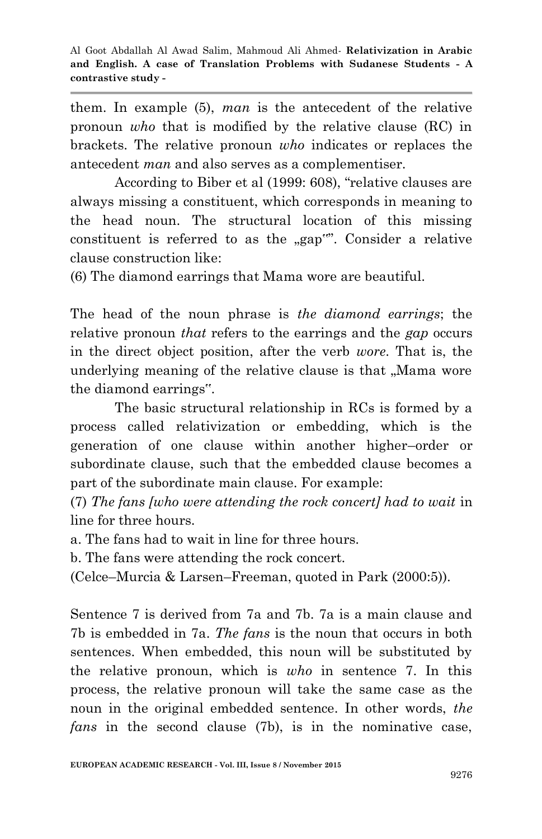them. In example (5), *man* is the antecedent of the relative pronoun *who* that is modified by the relative clause (RC) in brackets. The relative pronoun *who* indicates or replaces the antecedent *man* and also serves as a complementiser.

According to Biber et al (1999: 608), "relative clauses are always missing a constituent, which corresponds in meaning to the head noun. The structural location of this missing constituent is referred to as the "gap"". Consider a relative clause construction like:

(6) The diamond earrings that Mama wore are beautiful.

The head of the noun phrase is *the diamond earrings*; the relative pronoun *that* refers to the earrings and the *gap* occurs in the direct object position, after the verb *wore*. That is, the underlying meaning of the relative clause is that "Mama wore" the diamond earrings".

The basic structural relationship in RCs is formed by a process called relativization or embedding, which is the generation of one clause within another higher–order or subordinate clause, such that the embedded clause becomes a part of the subordinate main clause. For example:

(7) *The fans [who were attending the rock concert] had to wait* in line for three hours.

a. The fans had to wait in line for three hours.

b. The fans were attending the rock concert.

(Celce–Murcia & Larsen–Freeman, quoted in Park (2000:5)).

Sentence 7 is derived from 7a and 7b. 7a is a main clause and 7b is embedded in 7a. *The fans* is the noun that occurs in both sentences. When embedded, this noun will be substituted by the relative pronoun, which is *who* in sentence 7. In this process, the relative pronoun will take the same case as the noun in the original embedded sentence. In other words, *the fans* in the second clause (7b), is in the nominative case,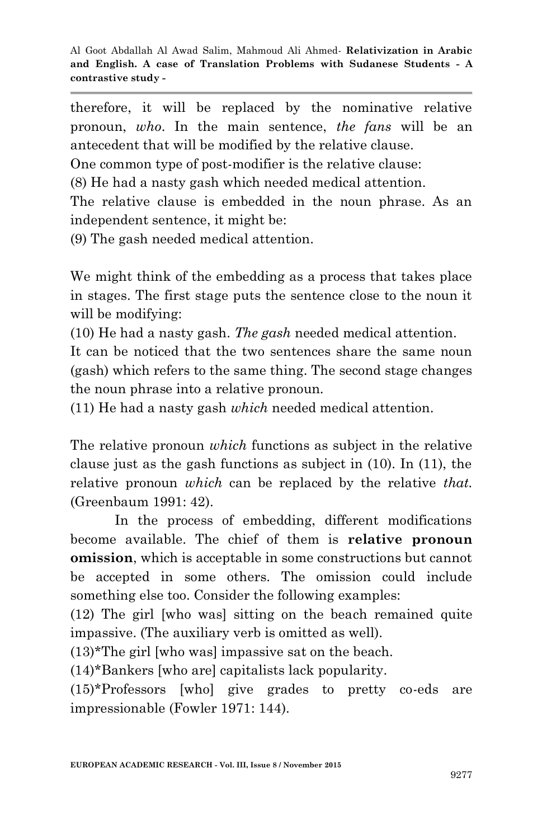therefore, it will be replaced by the nominative relative pronoun, *who*. In the main sentence, *the fans* will be an antecedent that will be modified by the relative clause.

One common type of post-modifier is the relative clause:

(8) He had a nasty gash which needed medical attention.

The relative clause is embedded in the noun phrase. As an independent sentence, it might be:

(9) The gash needed medical attention.

We might think of the embedding as a process that takes place in stages. The first stage puts the sentence close to the noun it will be modifying:

(10) He had a nasty gash. *The gash* needed medical attention.

It can be noticed that the two sentences share the same noun (gash) which refers to the same thing. The second stage changes the noun phrase into a relative pronoun.

(11) He had a nasty gash *which* needed medical attention.

The relative pronoun *which* functions as subject in the relative clause just as the gash functions as subject in (10). In (11), the relative pronoun *which* can be replaced by the relative *that.*  (Greenbaum 1991: 42).

In the process of embedding, different modifications become available. The chief of them is **relative pronoun omission**, which is acceptable in some constructions but cannot be accepted in some others. The omission could include something else too. Consider the following examples:

(12) The girl [who was] sitting on the beach remained quite impassive. (The auxiliary verb is omitted as well).

(13)\*The girl [who was] impassive sat on the beach.

(14)\*Bankers [who are] capitalists lack popularity.

(15)\*Professors [who] give grades to pretty co-eds are impressionable (Fowler 1971: 144).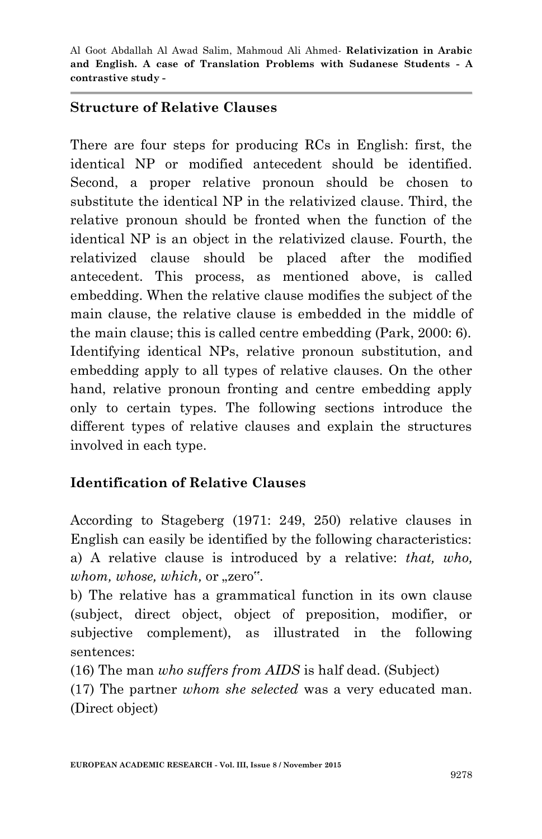#### **Structure of Relative Clauses**

There are four steps for producing RCs in English: first, the identical NP or modified antecedent should be identified. Second, a proper relative pronoun should be chosen to substitute the identical NP in the relativized clause. Third, the relative pronoun should be fronted when the function of the identical NP is an object in the relativized clause. Fourth, the relativized clause should be placed after the modified antecedent. This process, as mentioned above, is called embedding. When the relative clause modifies the subject of the main clause, the relative clause is embedded in the middle of the main clause; this is called centre embedding (Park, 2000: 6). Identifying identical NPs, relative pronoun substitution, and embedding apply to all types of relative clauses. On the other hand, relative pronoun fronting and centre embedding apply only to certain types. The following sections introduce the different types of relative clauses and explain the structures involved in each type.

## **Identification of Relative Clauses**

According to Stageberg (1971: 249, 250) relative clauses in English can easily be identified by the following characteristics: a) A relative clause is introduced by a relative: *that, who, whom, whose, which, or "zero".* 

b) The relative has a grammatical function in its own clause (subject, direct object, object of preposition, modifier, or subjective complement), as illustrated in the following sentences:

(16) The man *who suffers from AIDS* is half dead. (Subject)

(17) The partner *whom she selected* was a very educated man. (Direct object)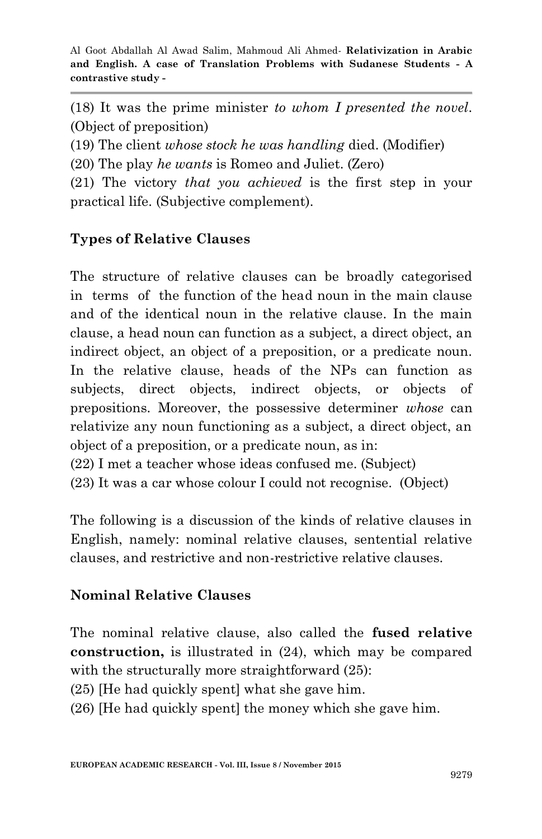(18) It was the prime minister *to whom I presented the novel*. (Object of preposition)

(19) The client *whose stock he was handling* died. (Modifier)

(20) The play *he wants* is Romeo and Juliet. (Zero)

(21) The victory *that you achieved* is the first step in your practical life. (Subjective complement).

# **Types of Relative Clauses**

The structure of relative clauses can be broadly categorised in terms of the function of the head noun in the main clause and of the identical noun in the relative clause. In the main clause, a head noun can function as a subject, a direct object, an indirect object, an object of a preposition, or a predicate noun. In the relative clause, heads of the NPs can function as subjects, direct objects, indirect objects, or objects of prepositions. Moreover, the possessive determiner *whose* can relativize any noun functioning as a subject, a direct object, an object of a preposition, or a predicate noun, as in:

(22) I met a teacher whose ideas confused me. (Subject)

(23) It was a car whose colour I could not recognise. (Object)

The following is a discussion of the kinds of relative clauses in English, namely: nominal relative clauses, sentential relative clauses, and restrictive and non-restrictive relative clauses.

## **Nominal Relative Clauses**

The nominal relative clause, also called the **fused relative construction,** is illustrated in (24), which may be compared with the structurally more straightforward (25):

(25) [He had quickly spent] what she gave him.

(26) [He had quickly spent] the money which she gave him.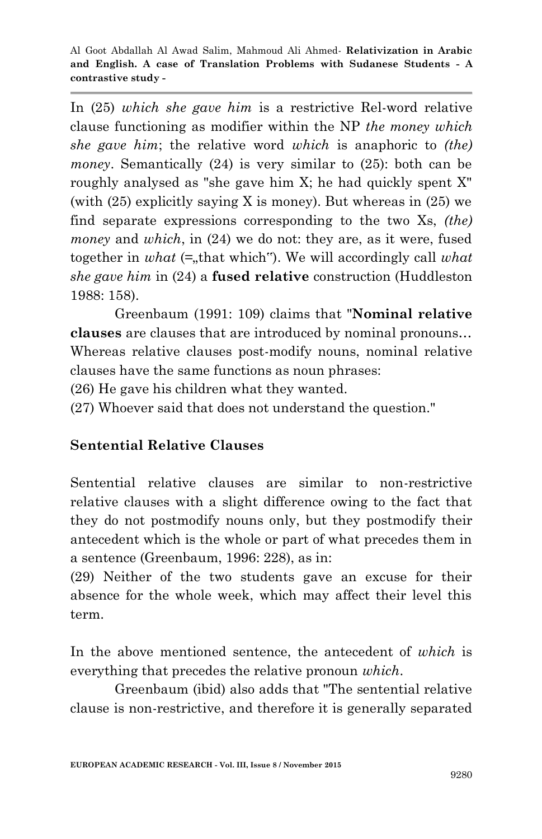In (25) *which she gave him* is a restrictive Rel-word relative clause functioning as modifier within the NP *the money which she gave him*; the relative word *which* is anaphoric to *(the) money*. Semantically (24) is very similar to (25): both can be roughly analysed as "she gave him X; he had quickly spent X" (with (25) explicitly saying X is money). But whereas in (25) we find separate expressions corresponding to the two Xs, *(the) money* and *which*, in (24) we do not: they are, as it were, fused together in *what*  $(=$ , that which"). We will accordingly call *what she gave him* in (24) a **fused relative** construction (Huddleston 1988: 158).

Greenbaum (1991: 109) claims that "**Nominal relative clauses** are clauses that are introduced by nominal pronouns… Whereas relative clauses post-modify nouns, nominal relative clauses have the same functions as noun phrases:

(26) He gave his children what they wanted.

(27) Whoever said that does not understand the question."

## **Sentential Relative Clauses**

Sentential relative clauses are similar to non-restrictive relative clauses with a slight difference owing to the fact that they do not postmodify nouns only, but they postmodify their antecedent which is the whole or part of what precedes them in a sentence (Greenbaum, 1996: 228), as in:

(29) Neither of the two students gave an excuse for their absence for the whole week, which may affect their level this term.

In the above mentioned sentence, the antecedent of *which* is everything that precedes the relative pronoun *which*.

Greenbaum (ibid) also adds that "The sentential relative clause is non-restrictive, and therefore it is generally separated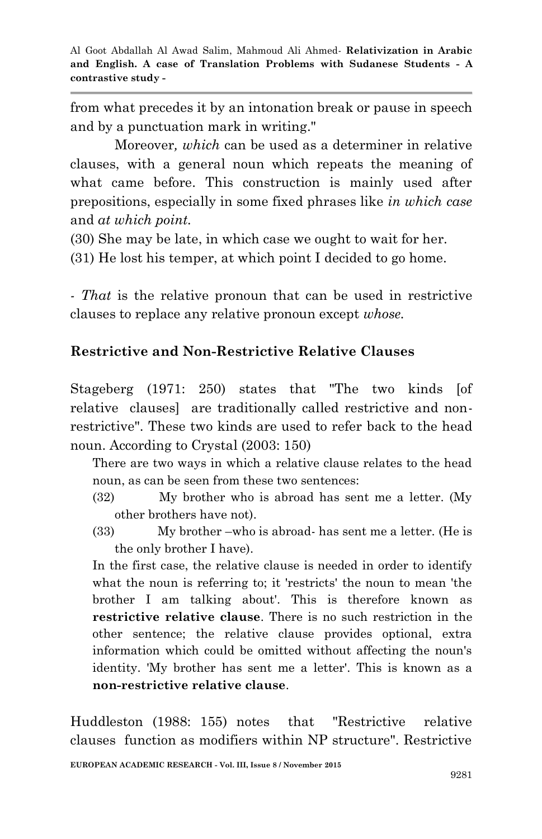from what precedes it by an intonation break or pause in speech and by a punctuation mark in writing."

Moreover*, which* can be used as a determiner in relative clauses, with a general noun which repeats the meaning of what came before. This construction is mainly used after prepositions, especially in some fixed phrases like *in which case* and *at which point.*

(30) She may be late, in which case we ought to wait for her.

(31) He lost his temper, at which point I decided to go home.

*- That* is the relative pronoun that can be used in restrictive clauses to replace any relative pronoun except *whose.*

## **Restrictive and Non-Restrictive Relative Clauses**

Stageberg (1971: 250) states that "The two kinds [of relative clauses] are traditionally called restrictive and nonrestrictive". These two kinds are used to refer back to the head noun. According to Crystal (2003: 150)

There are two ways in which a relative clause relates to the head noun, as can be seen from these two sentences:

- (32) My brother who is abroad has sent me a letter. (My other brothers have not).
- (33) My brother –who is abroad- has sent me a letter. (He is the only brother I have).

In the first case, the relative clause is needed in order to identify what the noun is referring to; it 'restricts' the noun to mean 'the brother I am talking about'. This is therefore known as **restrictive relative clause**. There is no such restriction in the other sentence; the relative clause provides optional, extra information which could be omitted without affecting the noun's identity. 'My brother has sent me a letter'. This is known as a **non-restrictive relative clause**.

Huddleston (1988: 155) notes that "Restrictive relative clauses function as modifiers within NP structure". Restrictive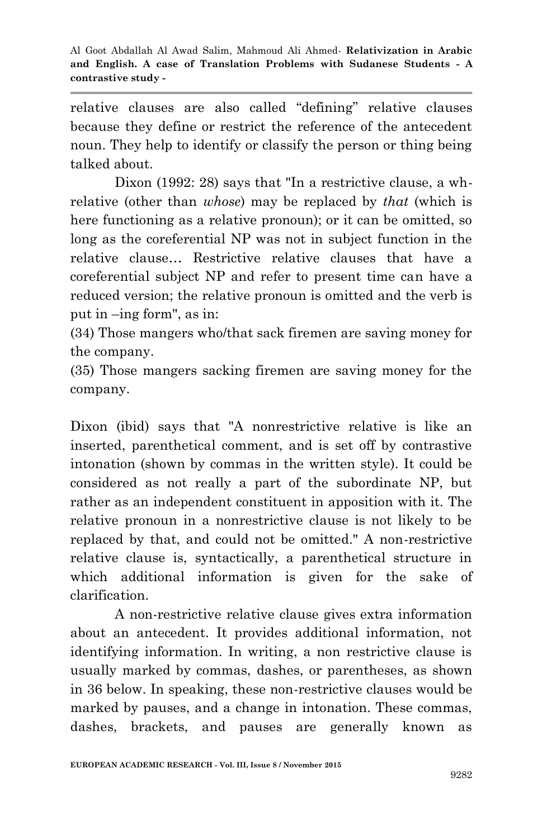relative clauses are also called "defining" relative clauses because they define or restrict the reference of the antecedent noun. They help to identify or classify the person or thing being talked about.

Dixon (1992: 28) says that "In a restrictive clause, a whrelative (other than *whose*) may be replaced by *that* (which is here functioning as a relative pronoun); or it can be omitted, so long as the coreferential NP was not in subject function in the relative clause… Restrictive relative clauses that have a coreferential subject NP and refer to present time can have a reduced version; the relative pronoun is omitted and the verb is put in –ing form", as in:

(34) Those mangers who/that sack firemen are saving money for the company.

(35) Those mangers sacking firemen are saving money for the company.

Dixon (ibid) says that "A nonrestrictive relative is like an inserted, parenthetical comment, and is set off by contrastive intonation (shown by commas in the written style). It could be considered as not really a part of the subordinate NP, but rather as an independent constituent in apposition with it. The relative pronoun in a nonrestrictive clause is not likely to be replaced by that, and could not be omitted." A non-restrictive relative clause is, syntactically, a parenthetical structure in which additional information is given for the sake of clarification.

A non-restrictive relative clause gives extra information about an antecedent. It provides additional information, not identifying information. In writing, a non restrictive clause is usually marked by commas, dashes, or parentheses, as shown in 36 below. In speaking, these non-restrictive clauses would be marked by pauses, and a change in intonation. These commas, dashes, brackets, and pauses are generally known as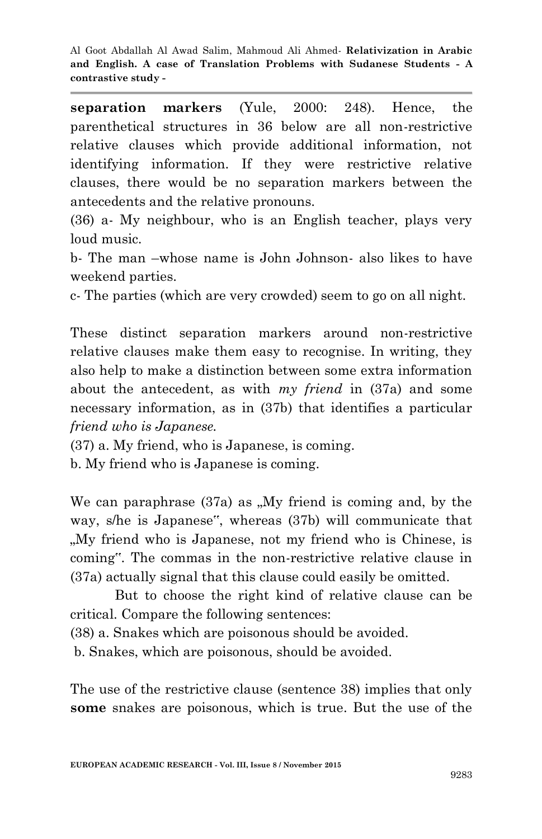**separation markers** (Yule, 2000: 248). Hence, the parenthetical structures in 36 below are all non-restrictive relative clauses which provide additional information, not identifying information. If they were restrictive relative clauses, there would be no separation markers between the antecedents and the relative pronouns.

(36) a- My neighbour, who is an English teacher, plays very loud music.

b- The man –whose name is John Johnson- also likes to have weekend parties.

c- The parties (which are very crowded) seem to go on all night.

These distinct separation markers around non-restrictive relative clauses make them easy to recognise. In writing, they also help to make a distinction between some extra information about the antecedent, as with *my friend* in (37a) and some necessary information, as in (37b) that identifies a particular *friend who is Japanese.*

(37) a. My friend, who is Japanese, is coming.

b. My friend who is Japanese is coming.

We can paraphrase  $(37a)$  as  $M_y$  friend is coming and, by the way, s/he is Japanese", whereas (37b) will communicate that "My friend who is Japanese, not my friend who is Chinese, is coming". The commas in the non-restrictive relative clause in (37a) actually signal that this clause could easily be omitted.

But to choose the right kind of relative clause can be critical. Compare the following sentences:

(38) a. Snakes which are poisonous should be avoided.

b. Snakes, which are poisonous, should be avoided.

The use of the restrictive clause (sentence 38) implies that only **some** snakes are poisonous, which is true. But the use of the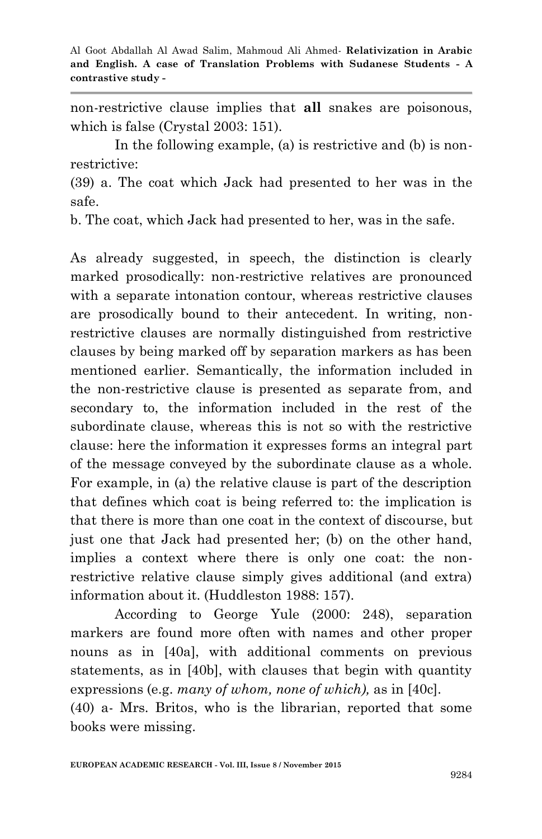non-restrictive clause implies that **all** snakes are poisonous, which is false (Crystal 2003: 151).

In the following example, (a) is restrictive and (b) is nonrestrictive:

(39) a. The coat which Jack had presented to her was in the safe.

b. The coat, which Jack had presented to her, was in the safe.

As already suggested, in speech, the distinction is clearly marked prosodically: non-restrictive relatives are pronounced with a separate intonation contour, whereas restrictive clauses are prosodically bound to their antecedent. In writing, nonrestrictive clauses are normally distinguished from restrictive clauses by being marked off by separation markers as has been mentioned earlier. Semantically, the information included in the non-restrictive clause is presented as separate from, and secondary to, the information included in the rest of the subordinate clause, whereas this is not so with the restrictive clause: here the information it expresses forms an integral part of the message conveyed by the subordinate clause as a whole. For example, in (a) the relative clause is part of the description that defines which coat is being referred to: the implication is that there is more than one coat in the context of discourse, but just one that Jack had presented her; (b) on the other hand, implies a context where there is only one coat: the nonrestrictive relative clause simply gives additional (and extra) information about it. (Huddleston 1988: 157).

According to George Yule (2000: 248), separation markers are found more often with names and other proper nouns as in [40a], with additional comments on previous statements, as in [40b], with clauses that begin with quantity expressions (e.g. *many of whom, none of which),* as in [40c].

(40) a- Mrs. Britos, who is the librarian, reported that some books were missing.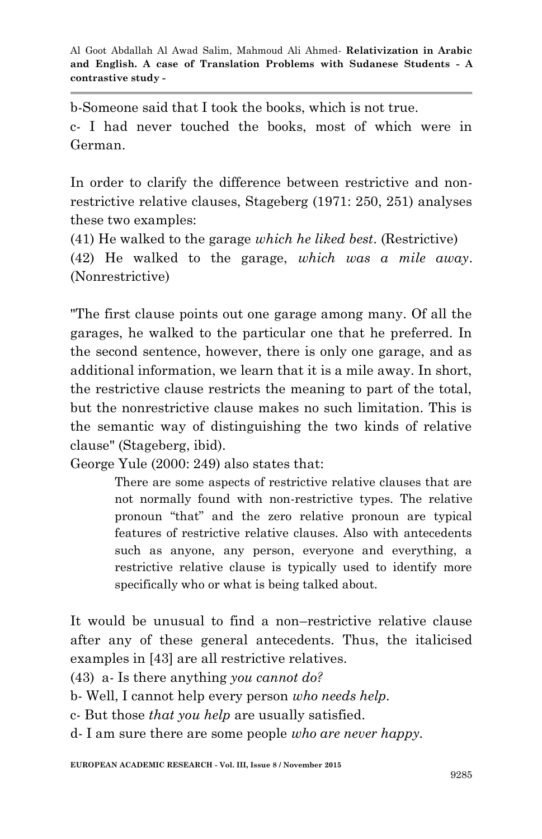b-Someone said that I took the books, which is not true. c- I had never touched the books, most of which were in German.

In order to clarify the difference between restrictive and nonrestrictive relative clauses, Stageberg (1971: 250, 251) analyses these two examples:

(41) He walked to the garage *which he liked best*. (Restrictive) (42) He walked to the garage, *which was a mile away*. (Nonrestrictive)

"The first clause points out one garage among many. Of all the garages, he walked to the particular one that he preferred. In the second sentence, however, there is only one garage, and as additional information, we learn that it is a mile away. In short, the restrictive clause restricts the meaning to part of the total, but the nonrestrictive clause makes no such limitation. This is the semantic way of distinguishing the two kinds of relative clause" (Stageberg, ibid).

George Yule (2000: 249) also states that:

There are some aspects of restrictive relative clauses that are not normally found with non-restrictive types. The relative pronoun "that" and the zero relative pronoun are typical features of restrictive relative clauses. Also with antecedents such as anyone, any person, everyone and everything, a restrictive relative clause is typically used to identify more specifically who or what is being talked about.

It would be unusual to find a non–restrictive relative clause after any of these general antecedents. Thus, the italicised examples in [43] are all restrictive relatives.

(43) a- Is there anything *you cannot do?*

b- Well, I cannot help every person *who needs help.*

c- But those *that you help* are usually satisfied.

d- I am sure there are some people *who are never happy.*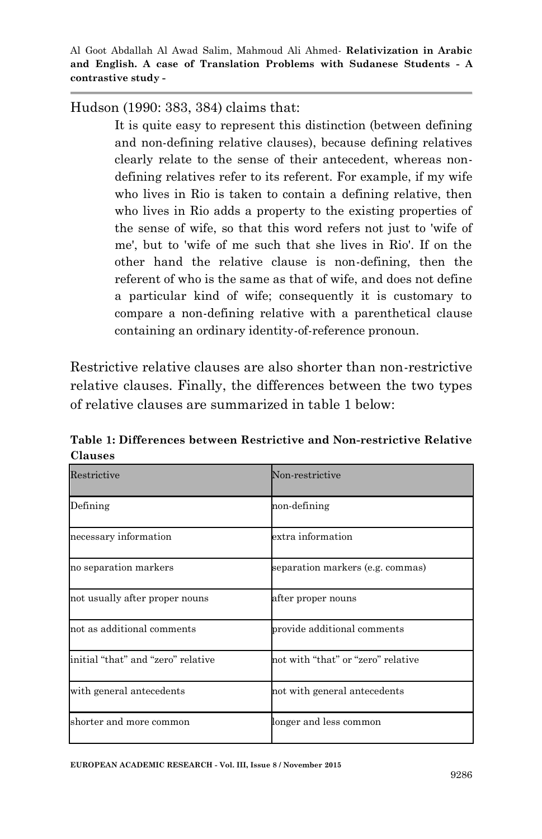Hudson (1990: 383, 384) claims that:

It is quite easy to represent this distinction (between defining and non-defining relative clauses), because defining relatives clearly relate to the sense of their antecedent, whereas nondefining relatives refer to its referent. For example, if my wife who lives in Rio is taken to contain a defining relative, then who lives in Rio adds a property to the existing properties of the sense of wife, so that this word refers not just to 'wife of me', but to 'wife of me such that she lives in Rio'. If on the other hand the relative clause is non-defining, then the referent of who is the same as that of wife, and does not define a particular kind of wife; consequently it is customary to compare a non-defining relative with a parenthetical clause containing an ordinary identity-of-reference pronoun.

Restrictive relative clauses are also shorter than non-restrictive relative clauses. Finally, the differences between the two types of relative clauses are summarized in table 1 below:

| Restrictive                        | Non-restrictive                    |
|------------------------------------|------------------------------------|
| Defining                           | non-defining                       |
| necessary information              | extra information                  |
| no separation markers              | separation markers (e.g. commas)   |
| not usually after proper nouns     | after proper nouns                 |
| not as additional comments         | provide additional comments        |
| initial "that" and "zero" relative | not with "that" or "zero" relative |
| with general antecedents           | not with general antecedents       |
| shorter and more common            | longer and less common             |

**Table 1: Differences between Restrictive and Non-restrictive Relative Clauses**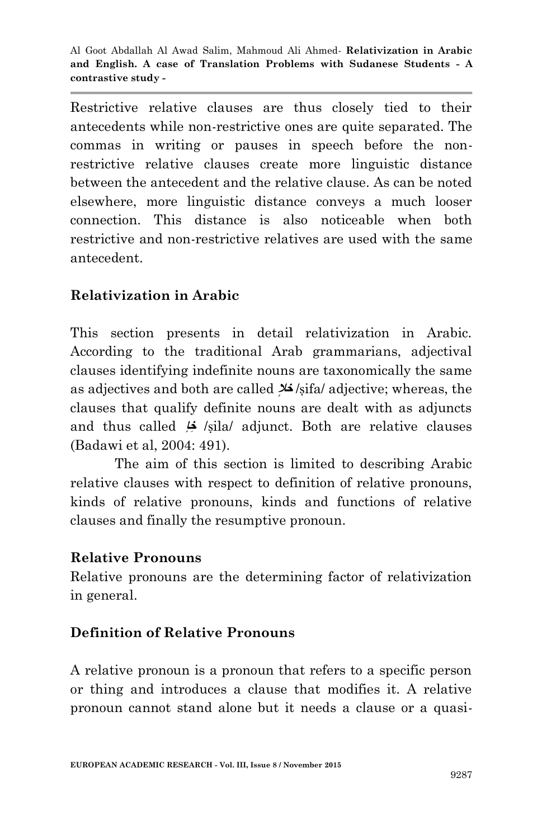Restrictive relative clauses are thus closely tied to their antecedents while non-restrictive ones are quite separated. The commas in writing or pauses in speech before the nonrestrictive relative clauses create more linguistic distance between the antecedent and the relative clause. As can be noted elsewhere, more linguistic distance conveys a much looser connection. This distance is also noticeable when both restrictive and non-restrictive relatives are used with the same antecedent.

## **Relativization in Arabic**

This section presents in detail relativization in Arabic. According to the traditional Arab grammarians, adjectival clauses identifying indefinite nouns are taxonomically the same as adjectives and both are called **ال <sup>خ</sup>** /ṣifa/ adjective; whereas, the clauses that qualify definite nouns are dealt with as adjuncts and thus called **خااِ** /ṣila/ adjunct. Both are relative clauses (Badawi et al, 2004: 491).

The aim of this section is limited to describing Arabic relative clauses with respect to definition of relative pronouns, kinds of relative pronouns, kinds and functions of relative clauses and finally the resumptive pronoun.

#### **Relative Pronouns**

Relative pronouns are the determining factor of relativization in general.

#### **Definition of Relative Pronouns**

A relative pronoun is a pronoun that refers to a specific person or thing and introduces a clause that modifies it. A relative pronoun cannot stand alone but it needs a clause or a quasi-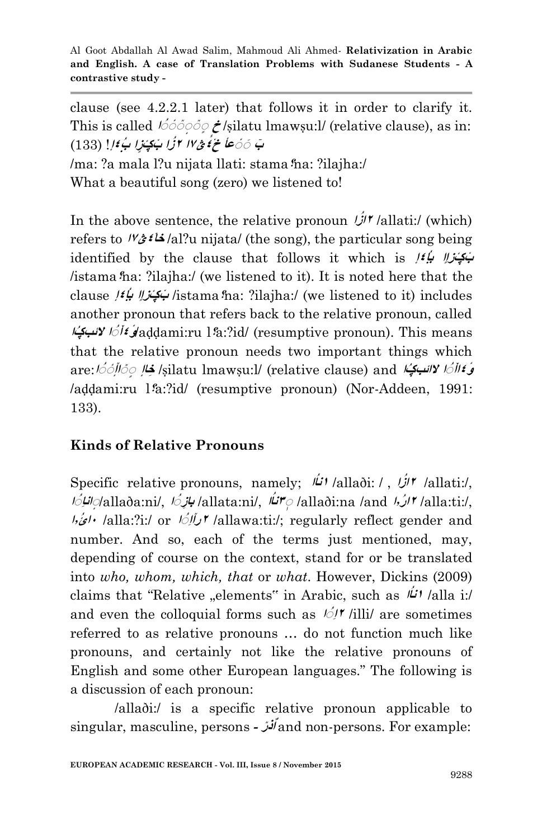clause (see 4.2.2.1 later) that follows it in order to clarify it. This is called **اٍُ ٍ ٍٍٞا ٍٍٍٞ خ** /ṣilatu lmawṣu:l/ (relative clause), as in: بُ ۞۞**عاُ ـخ ُوڻ١٧ آزَا ٻُڳايا بُءُ!! (133)** 

/ma: ?a mala l?u nijata llati: stama**؟**na: ?ilajha:/ What a beautiful song (zero) we listened to!

In the above sentence, the relative pronoun  $\hat{U}$  /allati:/ (which) refers to **ا٧ؿٗ٘خا** /al?u nijata/ (the song), the particular song being identified by the clause that follows it which is *إِذاِ* بِالْمَجْزَاءِ اللَّهُ /istama**؟**na: ?ilajha:/ (we listened to it). It is noted here that the clause **إُٗاٜت ااٍؼش ب٘** /istama**؟**na: ?ilajha:/ (we listened to it) includes another pronoun that refers back to the relative pronoun, called **ا ٍُا الئة ُؼا ٚٗ و**/aḍḍami:ru l**؟**a:?id/ (resumptive pronoun). This means that the relative pronoun needs two important things which **وَ £الْ** كَمَا لِهِ الْإِسْكَةُ are: http://silatu lmawṣu:l/ (relative clause) and كَمِثَارُ of كَمَا بِنَ مِ /aḍḍami:ru l**؟**a:?id/ (resumptive pronoun) (Nor-Addeen, 1991: 133).

#### **Kinds of Relative Pronouns**

Specific relative pronouns, namely; **الله / allaði: /,**  $\mathcal{V}$ **/ allati:/, اٍانِا ٍُا ِش ٍُا** /,ni:allaða/ **تا** /allata:ni/, **ٍٖ ا ُنا** /allaði:na /and **اُُازٕ** /alla:ti:/, **ااِ ٍُا** or :/i?:alla/ **ٓائُُا ٞزٕ** /allawa:ti:/; regularly reflect gender and number. And so, each of the terms just mentioned, may, depending of course on the context, stand for or be translated into *who, whom, which, that* or *what*. However, Dickins (2009) claims that "Relative "elements" in Arabic, such as **<sup>ا</sup> ُنأ** /alla i:/ and even the colloquial forms such as  $\frac{1}{2}$  / $\frac{1}{2}$  /illi/ are sometimes referred to as relative pronouns … do not function much like pronouns, and certainly not like the relative pronouns of English and some other European languages." The following is a discussion of each pronoun:

/allaði:/ is a specific relative pronoun applicable to singular, masculine, persons **زٞذٌ - <sup>ا</sup>** and non-persons. For example: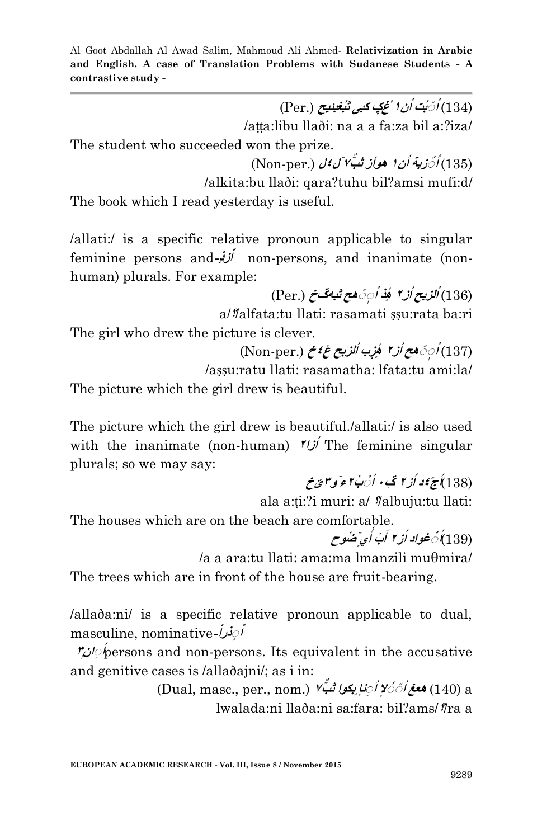(134) **<sup>ا</sup> ٔ ؼغؼ بث بثُبثيحخ ٍُٞتُت اٌُ** (.Per(

/aṭṭa:libu llaði: na a a fa:za bil a:?iza/

The student who succeeded won the prize.

اُنَّ **زبة** اُن ١ هواُرْ بْتُ؟ لَا مُل (.Non-per) (135) *أنْ زبة أن ١ هوأز ثب ١٢ ل ١٤* 

/alkita:bu llaði: qara?tuhu bil?amsi mufi:d/

The book which I read yesterday is useful.

/allati:/ is a specific relative pronoun applicable to singular feminine persons and **شذٌ -ٟ <sup>ا</sup>** non-persons, and inanimate (nonhuman) plurals. For example:

**نصتخ اُش** (.Per(  **ٍ <sup>ا</sup> ٕ ٍٞهخ بثهػخ ُ** (136) **ٍ هر اُ**

a/**؟**/alfata:tu llati: rasamati ṣṣu:rata ba:ri The girl who drew the picture is clever.

 **ٍٍٞهخ اُش** (.per-Non( **ا ٕ نصتخ ع ُ ٜصب اُ** (137) **ٍ ه ِٗخ** 

/aṣṣu:ratu llati: rasamatha: lfata:tu ami:la/

The picture which the girl drew is beautiful.

The picture which the girl drew is beautiful./allati:/ is also used with the inanimate (non-human) *v* $\hat{U}$ <sup>*i*</sup> The feminine singular plurals; so we may say:

**ا ٗٞ <sup>ش</sup> ُج** (138) **<sup>د</sup> <sup>ا</sup> ٕ ِػٓ اُ ٍْ ٝبٕء وٖؾخ ُ**

ala a:ṭi:?i muri: a/ **؟**/albuju:tu llati:

The houses which are on the beach are comfortable. **ا ٕ ّب ُ ٍْغواد اُش يٍ أ ضوح**  (139) **ا** 

/a a ara:tu llati: ama:ma lmanzili muθmira/ The trees which are in front of the house are fruit-bearing.

/allaða:ni/ is a specific relative pronoun applicable to dual, masculine, nominative **ْذزاٍٍ ا - ٌ**

*(<sup>t</sup>)*<sup>*o*</sup>*p*ersons and non-persons. Its equivalent in the accusative and genitive cases is /allaðajni/; as i in:

> (Dual, masc., per., nom.) **بة تكواٍنااٍِ هعغ ا ٧ ٍُٞ ٍُ اال اُ ٌ** (140) a lwalada:ni llaða:ni sa:fara: bil?ams/**؟**/ra a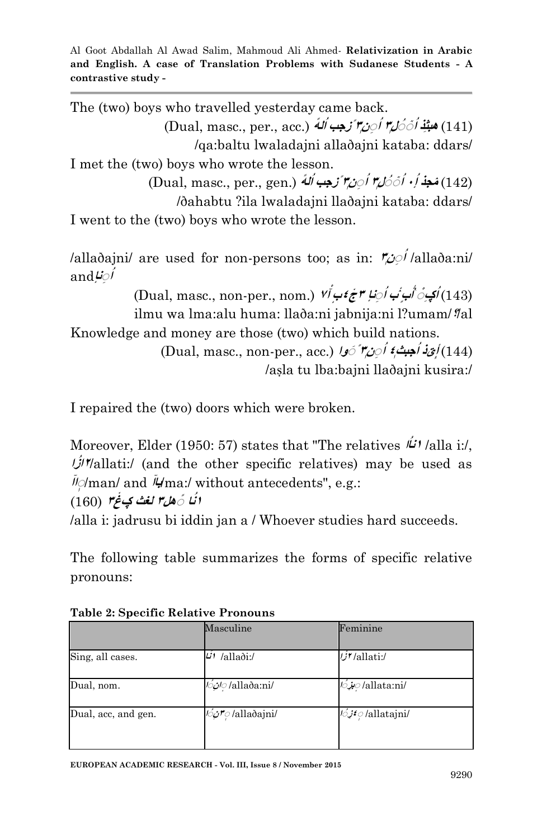The (two) boys who travelled yesterday came back. (Dual, masc., per., acc.) **لٍُ ٍُٞ هً ان ٌٍِ ٖ ًشجة ُ ا** (141) **هثثِر ا ٖ ُ** /qa:baltu lwaladajni allaðajni kataba: ddars/ I met the (two) boys who wrote the lesson. (Dual, masc., per., gen.) **ُ لٍُ ٍٞ ٓإ يجرٛ ٍِ ا ٖ ٌ ُ ا ٖ ً <sup>ن</sup> ًه ُ** (142) **شجة اُ**

/ðahabtu ?ila lwaladajni llaðajni kataba: ddars/ I went to the (two) boys who wrote the lesson.

/allaðajni/ are used for non-persons too; as in: **ٌٍِ ُ ٖ ا** /allaða:ni/ **ٍِناا**and **اُ**

(Dual, masc., non-per., nom.) **نااٍِ ِؼ ٍْٝا بٍ ٛ ب اُ اب <sup>٧</sup> <sup>ا</sup> ٖ ٘جٗ <sup>ا</sup> ُ ْ**(143) اڳوپر آب به اچلا **۳ج ع**ب آ ilmu wa lma:alu huma: llaða:ni jabnija:ni l?umam/**؟**/al Knowledge and money are those (two) which build nations.

(Dual, masc., non-per., acc.) **جثثُ ٌ ٗ ا أؾذ ٍِ** (144) **ا ٖ ً ٍَوا ُ** /aṣla tu lba:bajni llaðajni kusira:/

I repaired the (two) doors which were broken.

Moreover, Elder (1950: 57) states that "The relatives **<sup>ا</sup> ُنأ** /alla i:/, **شاُ إ**/allati:/ (and the other specific relatives) may be used as  **ٍا ا** /man/ and **تاا**/ma:/ without antecedents", e.g.: **نا ًٍهمٖ نبث ؼ ٘ؼغٖ** (160) **ُٔ**

/alla i: jadrusu bi iddin jan a / Whoever studies hard succeeds.

The following table summarizes the forms of specific relative pronouns:

|                     | Masculine                      | Feminine            |
|---------------------|--------------------------------|---------------------|
| Sing, all cases.    | $\overrightarrow{u}$ /allaði:/ | /j۲/allati:/        |
| Dual, nom.          | /allaða:ni/ <i>ان0ا</i>        | /allata:ni/ جانيهُ/ |
| Dual, acc, and gen. | /allaðajni/ مسمع المريك        | /allatajni/ عزبة/   |

**Table 2: Specific Relative Pronouns**

**EUROPEAN ACADEMIC RESEARCH - Vol. III, Issue 8 / November 2015**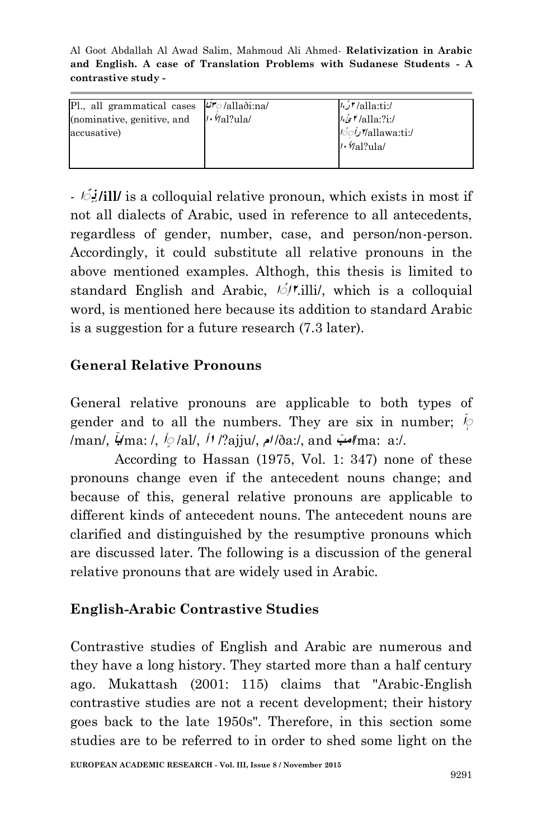| Pl., all grammatical cases $U''$ /alladi:na/<br>(nominative, genitive, and<br>accusative) | $\frac{1}{4}$ Mal?ula/ | /alla:ti:/أردا<br>/alla:?i:/ مئي دا<br>/allawa:ti:/أ <i>الرأ</i><br>$\frac{1}{4}$ Mal?ula/ |  |
|-------------------------------------------------------------------------------------------|------------------------|--------------------------------------------------------------------------------------------|--|
|-------------------------------------------------------------------------------------------|------------------------|--------------------------------------------------------------------------------------------|--|

- **اٌٍ ذٍٟ/ill/** is a colloquial relative pronoun, which exists in most if not all dialects of Arabic, used in reference to all antecedents, regardless of gender, number, case, and person/non-person. Accordingly, it could substitute all relative pronouns in the above mentioned examples. Althogh, this thesis is limited to standard English and Arabic, **اٍُ ِإ**.illi/, which is a colloquial word, is mentioned here because its addition to standard Arabic is a suggestion for a future research (7.3 later).

### **General Relative Pronouns**

General relative pronouns are applicable to both types of gender and to all the numbers. They are six in number;  $\sqrt{ }$ /man/, **تا**/ma: /, **أٍٍ** /al/, **أٔ** /?ajju/, **او** /ða:/, and **ة اي**/ma: a:/.

According to Hassan (1975, Vol. 1: 347) none of these pronouns change even if the antecedent nouns change; and because of this, general relative pronouns are applicable to different kinds of antecedent nouns. The antecedent nouns are clarified and distinguished by the resumptive pronouns which are discussed later. The following is a discussion of the general relative pronouns that are widely used in Arabic.

## **English-Arabic Contrastive Studies**

Contrastive studies of English and Arabic are numerous and they have a long history. They started more than a half century ago. Mukattash (2001: 115) claims that "Arabic-English contrastive studies are not a recent development; their history goes back to the late 1950s". Therefore, in this section some studies are to be referred to in order to shed some light on the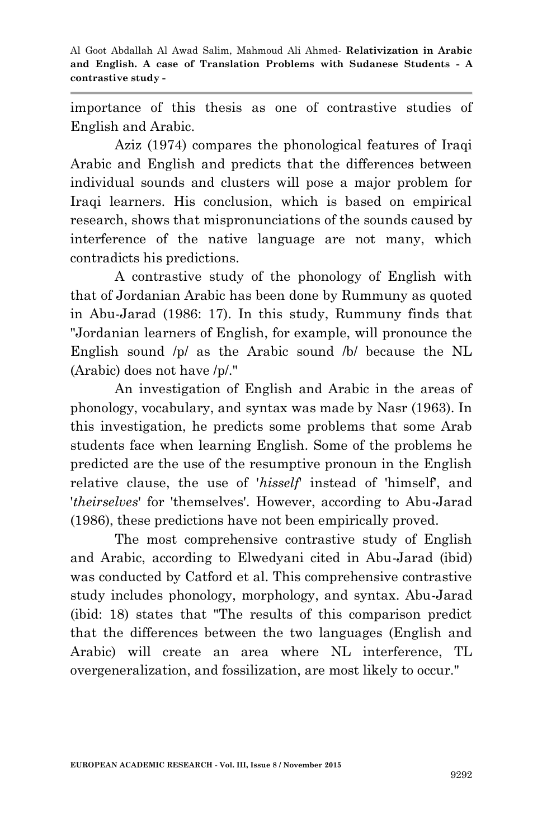importance of this thesis as one of contrastive studies of English and Arabic.

Aziz (1974) compares the phonological features of Iraqi Arabic and English and predicts that the differences between individual sounds and clusters will pose a major problem for Iraqi learners. His conclusion, which is based on empirical research, shows that mispronunciations of the sounds caused by interference of the native language are not many, which contradicts his predictions.

A contrastive study of the phonology of English with that of Jordanian Arabic has been done by Rummuny as quoted in Abu-Jarad (1986: 17). In this study, Rummuny finds that "Jordanian learners of English, for example, will pronounce the English sound /p/ as the Arabic sound /b/ because the NL (Arabic) does not have /p/."

An investigation of English and Arabic in the areas of phonology, vocabulary, and syntax was made by Nasr (1963). In this investigation, he predicts some problems that some Arab students face when learning English. Some of the problems he predicted are the use of the resumptive pronoun in the English relative clause, the use of '*hisself*' instead of 'himself', and '*theirselves*' for 'themselves'. However, according to Abu-Jarad (1986), these predictions have not been empirically proved.

The most comprehensive contrastive study of English and Arabic, according to Elwedyani cited in Abu-Jarad (ibid) was conducted by Catford et al. This comprehensive contrastive study includes phonology, morphology, and syntax. Abu-Jarad (ibid: 18) states that "The results of this comparison predict that the differences between the two languages (English and Arabic) will create an area where NL interference, TL overgeneralization, and fossilization, are most likely to occur."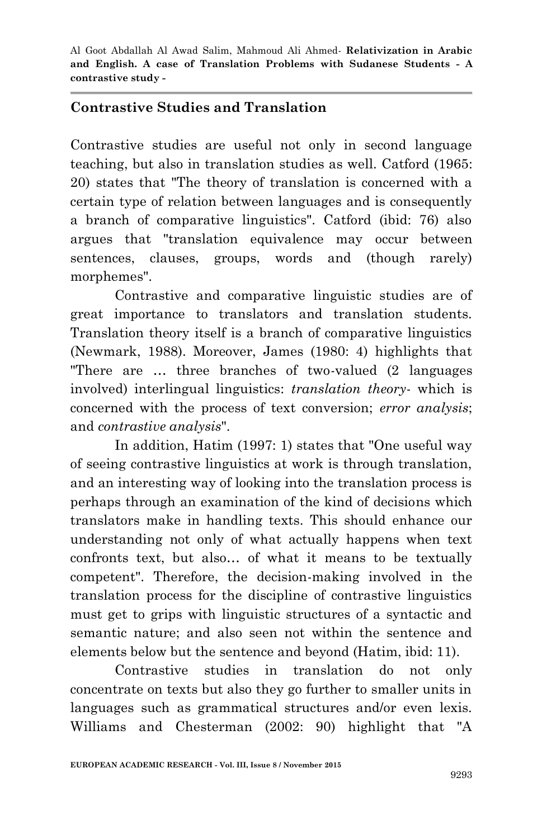#### **Contrastive Studies and Translation**

Contrastive studies are useful not only in second language teaching, but also in translation studies as well. Catford (1965: 20) states that "The theory of translation is concerned with a certain type of relation between languages and is consequently a branch of comparative linguistics". Catford (ibid: 76) also argues that "translation equivalence may occur between sentences, clauses, groups, words and (though rarely) morphemes".

Contrastive and comparative linguistic studies are of great importance to translators and translation students. Translation theory itself is a branch of comparative linguistics (Newmark, 1988). Moreover, James (1980: 4) highlights that "There are … three branches of two-valued (2 languages involved) interlingual linguistics: *translation theory*- which is concerned with the process of text conversion; *error analysis*; and *contrastive analysis*".

In addition, Hatim (1997: 1) states that "One useful way of seeing contrastive linguistics at work is through translation, and an interesting way of looking into the translation process is perhaps through an examination of the kind of decisions which translators make in handling texts. This should enhance our understanding not only of what actually happens when text confronts text, but also… of what it means to be textually competent". Therefore, the decision-making involved in the translation process for the discipline of contrastive linguistics must get to grips with linguistic structures of a syntactic and semantic nature; and also seen not within the sentence and elements below but the sentence and beyond (Hatim, ibid: 11).

Contrastive studies in translation do not only concentrate on texts but also they go further to smaller units in languages such as grammatical structures and/or even lexis. Williams and Chesterman (2002: 90) highlight that "A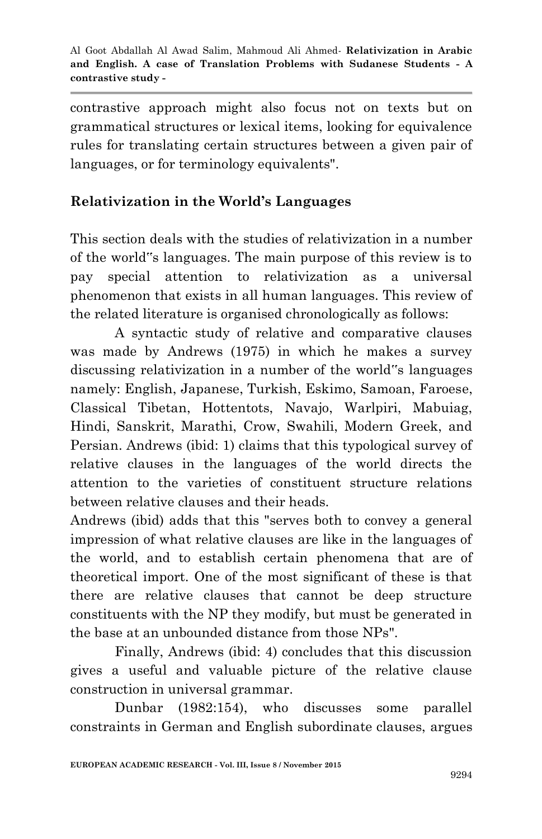contrastive approach might also focus not on texts but on grammatical structures or lexical items, looking for equivalence rules for translating certain structures between a given pair of languages, or for terminology equivalents".

## **Relativization in the World's Languages**

This section deals with the studies of relativization in a number of the world"s languages. The main purpose of this review is to pay special attention to relativization as a universal phenomenon that exists in all human languages. This review of the related literature is organised chronologically as follows:

A syntactic study of relative and comparative clauses was made by Andrews (1975) in which he makes a survey discussing relativization in a number of the world"s languages namely: English, Japanese, Turkish, Eskimo, Samoan, Faroese, Classical Tibetan, Hottentots, Navajo, Warlpiri, Mabuiag, Hindi, Sanskrit, Marathi, Crow, Swahili, Modern Greek, and Persian. Andrews (ibid: 1) claims that this typological survey of relative clauses in the languages of the world directs the attention to the varieties of constituent structure relations between relative clauses and their heads.

Andrews (ibid) adds that this "serves both to convey a general impression of what relative clauses are like in the languages of the world, and to establish certain phenomena that are of theoretical import. One of the most significant of these is that there are relative clauses that cannot be deep structure constituents with the NP they modify, but must be generated in the base at an unbounded distance from those NPs".

Finally, Andrews (ibid: 4) concludes that this discussion gives a useful and valuable picture of the relative clause construction in universal grammar.

Dunbar (1982:154), who discusses some parallel constraints in German and English subordinate clauses, argues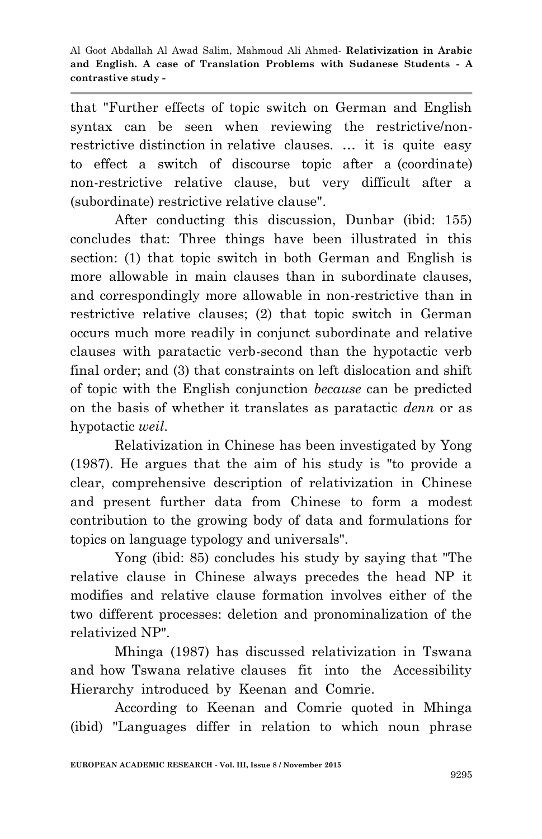that "Further effects of topic switch on German and English syntax can be seen when reviewing the restrictive/nonrestrictive distinction in relative clauses. … it is quite easy to effect a switch of discourse topic after a (coordinate) non-restrictive relative clause, but very difficult after a (subordinate) restrictive relative clause".

After conducting this discussion, Dunbar (ibid: 155) concludes that: Three things have been illustrated in this section: (1) that topic switch in both German and English is more allowable in main clauses than in subordinate clauses, and correspondingly more allowable in non-restrictive than in restrictive relative clauses; (2) that topic switch in German occurs much more readily in conjunct subordinate and relative clauses with paratactic verb-second than the hypotactic verb final order; and (3) that constraints on left dislocation and shift of topic with the English conjunction *because* can be predicted on the basis of whether it translates as paratactic *denn* or as hypotactic *weil*.

Relativization in Chinese has been investigated by Yong (1987). He argues that the aim of his study is "to provide a clear, comprehensive description of relativization in Chinese and present further data from Chinese to form a modest contribution to the growing body of data and formulations for topics on language typology and universals".

Yong (ibid: 85) concludes his study by saying that "The relative clause in Chinese always precedes the head NP it modifies and relative clause formation involves either of the two different processes: deletion and pronominalization of the relativized NP".

Mhinga (1987) has discussed relativization in Tswana and how Tswana relative clauses fit into the Accessibility Hierarchy introduced by Keenan and Comrie.

According to Keenan and Comrie quoted in Mhinga (ibid) "Languages differ in relation to which noun phrase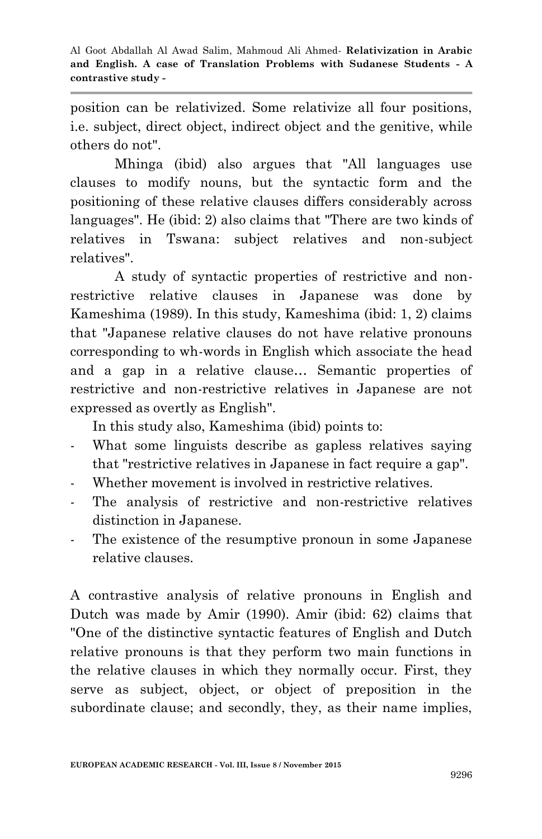position can be relativized. Some relativize all four positions, i.e. subject, direct object, indirect object and the genitive, while others do not".

Mhinga (ibid) also argues that "All languages use clauses to modify nouns, but the syntactic form and the positioning of these relative clauses differs considerably across languages". He (ibid: 2) also claims that "There are two kinds of relatives in Tswana: subject relatives and non-subject relatives".

A study of syntactic properties of restrictive and nonrestrictive relative clauses in Japanese was done by Kameshima (1989). In this study, Kameshima (ibid: 1, 2) claims that "Japanese relative clauses do not have relative pronouns corresponding to wh-words in English which associate the head and a gap in a relative clause… Semantic properties of restrictive and non-restrictive relatives in Japanese are not expressed as overtly as English".

In this study also, Kameshima (ibid) points to:

- What some linguists describe as gapless relatives saying that "restrictive relatives in Japanese in fact require a gap".
- Whether movement is involved in restrictive relatives.
- The analysis of restrictive and non-restrictive relatives distinction in Japanese.
- The existence of the resumptive pronoun in some Japanese relative clauses.

A contrastive analysis of relative pronouns in English and Dutch was made by Amir (1990). Amir (ibid: 62) claims that "One of the distinctive syntactic features of English and Dutch relative pronouns is that they perform two main functions in the relative clauses in which they normally occur. First, they serve as subject, object, or object of preposition in the subordinate clause; and secondly, they, as their name implies,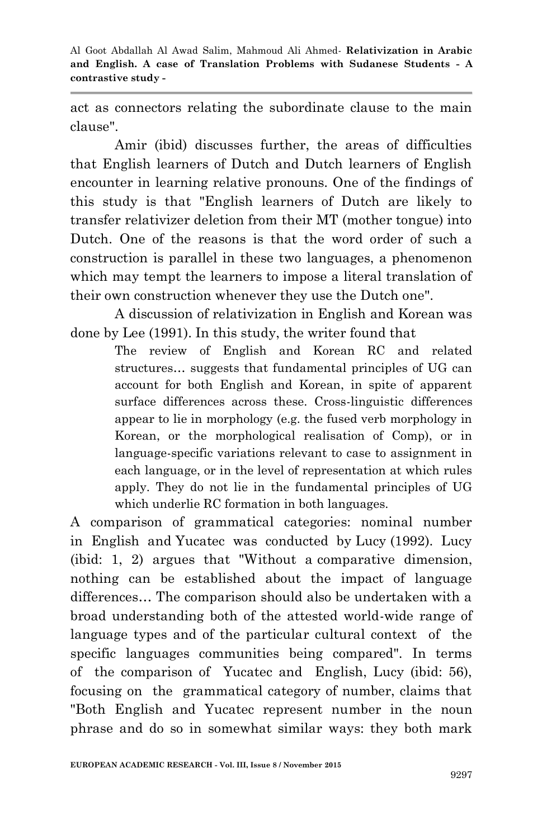act as connectors relating the subordinate clause to the main clause".

Amir (ibid) discusses further, the areas of difficulties that English learners of Dutch and Dutch learners of English encounter in learning relative pronouns. One of the findings of this study is that "English learners of Dutch are likely to transfer relativizer deletion from their MT (mother tongue) into Dutch. One of the reasons is that the word order of such a construction is parallel in these two languages, a phenomenon which may tempt the learners to impose a literal translation of their own construction whenever they use the Dutch one".

A discussion of relativization in English and Korean was done by Lee (1991). In this study, the writer found that

The review of English and Korean RC and related structures… suggests that fundamental principles of UG can account for both English and Korean, in spite of apparent surface differences across these. Cross-linguistic differences appear to lie in morphology (e.g. the fused verb morphology in Korean, or the morphological realisation of Comp), or in language-specific variations relevant to case to assignment in each language, or in the level of representation at which rules apply. They do not lie in the fundamental principles of UG which underlie RC formation in both languages.

A comparison of grammatical categories: nominal number in English and Yucatec was conducted by Lucy (1992). Lucy (ibid: 1, 2) argues that "Without a comparative dimension, nothing can be established about the impact of language differences… The comparison should also be undertaken with a broad understanding both of the attested world-wide range of language types and of the particular cultural context of the specific languages communities being compared". In terms of the comparison of Yucatec and English, Lucy (ibid: 56), focusing on the grammatical category of number, claims that "Both English and Yucatec represent number in the noun phrase and do so in somewhat similar ways: they both mark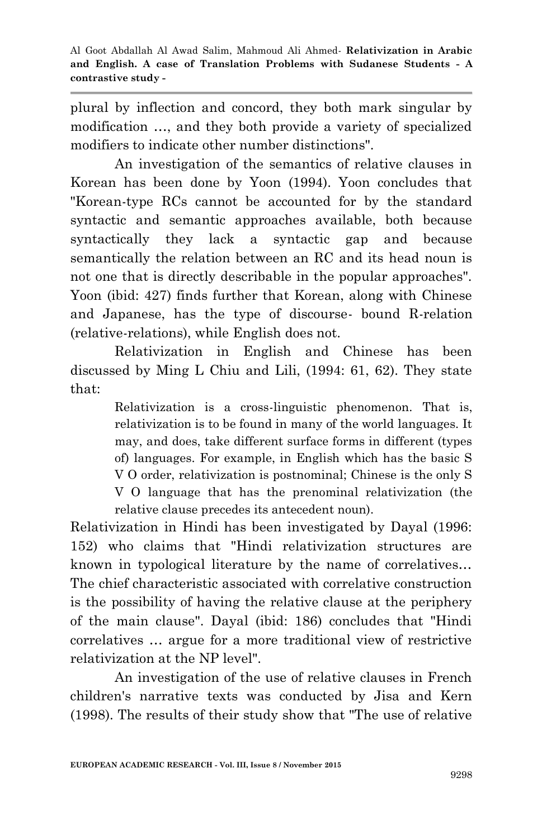plural by inflection and concord, they both mark singular by modification …, and they both provide a variety of specialized modifiers to indicate other number distinctions".

An investigation of the semantics of relative clauses in Korean has been done by Yoon (1994). Yoon concludes that "Korean-type RCs cannot be accounted for by the standard syntactic and semantic approaches available, both because syntactically they lack a syntactic gap and because semantically the relation between an RC and its head noun is not one that is directly describable in the popular approaches". Yoon (ibid: 427) finds further that Korean, along with Chinese and Japanese, has the type of discourse- bound R-relation (relative-relations), while English does not.

Relativization in English and Chinese has been discussed by Ming L Chiu and Lili, (1994: 61, 62). They state that:

> Relativization is a cross-linguistic phenomenon. That is, relativization is to be found in many of the world languages. It may, and does, take different surface forms in different (types of) languages. For example, in English which has the basic S V O order, relativization is postnominal; Chinese is the only S V O language that has the prenominal relativization (the relative clause precedes its antecedent noun).

Relativization in Hindi has been investigated by Dayal (1996: 152) who claims that "Hindi relativization structures are known in typological literature by the name of correlatives… The chief characteristic associated with correlative construction is the possibility of having the relative clause at the periphery of the main clause". Dayal (ibid: 186) concludes that "Hindi correlatives … argue for a more traditional view of restrictive relativization at the NP level".

An investigation of the use of relative clauses in French children's narrative texts was conducted by Jisa and Kern (1998). The results of their study show that "The use of relative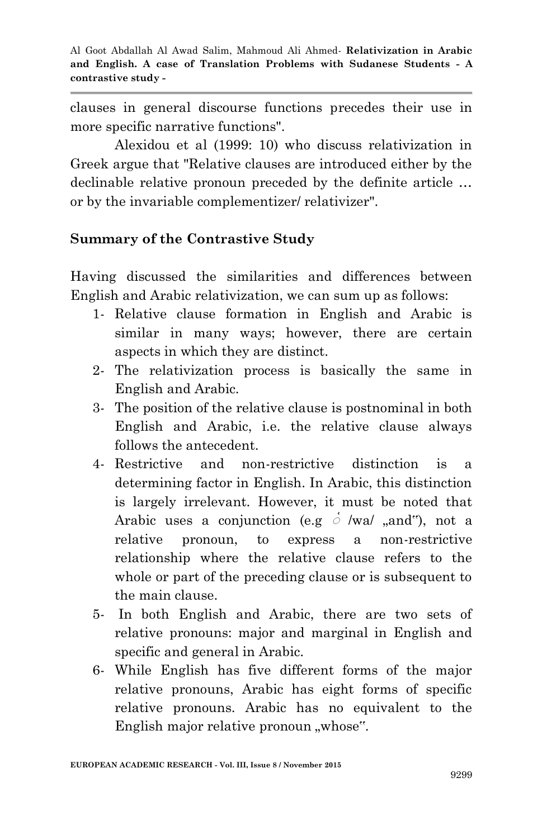clauses in general discourse functions precedes their use in more specific narrative functions".

Alexidou et al (1999: 10) who discuss relativization in Greek argue that "Relative clauses are introduced either by the declinable relative pronoun preceded by the definite article … or by the invariable complementizer/ relativizer".

## **Summary of the Contrastive Study**

Having discussed the similarities and differences between English and Arabic relativization, we can sum up as follows:

- 1- Relative clause formation in English and Arabic is similar in many ways; however, there are certain aspects in which they are distinct.
- 2- The relativization process is basically the same in English and Arabic.
- 3- The position of the relative clause is postnominal in both English and Arabic, i.e. the relative clause always follows the antecedent.
- 4- Restrictive and non-restrictive distinction is a determining factor in English. In Arabic, this distinction is largely irrelevant. However, it must be noted that Arabic uses a conjunction (e.g  $\phi$  /wa/ ,, and  $\phi$ ), not a relative pronoun, to express a non-restrictive relationship where the relative clause refers to the whole or part of the preceding clause or is subsequent to the main clause.
- 5- In both English and Arabic, there are two sets of relative pronouns: major and marginal in English and specific and general in Arabic.
- 6- While English has five different forms of the major relative pronouns, Arabic has eight forms of specific relative pronouns. Arabic has no equivalent to the English major relative pronoun "whose".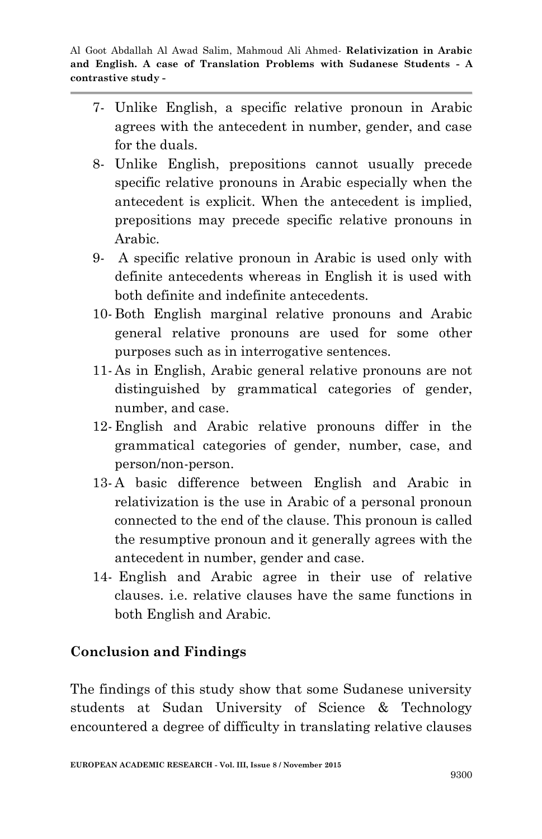- 7- Unlike English, a specific relative pronoun in Arabic agrees with the antecedent in number, gender, and case for the duals.
- 8- Unlike English, prepositions cannot usually precede specific relative pronouns in Arabic especially when the antecedent is explicit. When the antecedent is implied, prepositions may precede specific relative pronouns in Arabic.
- 9- A specific relative pronoun in Arabic is used only with definite antecedents whereas in English it is used with both definite and indefinite antecedents.
- 10- Both English marginal relative pronouns and Arabic general relative pronouns are used for some other purposes such as in interrogative sentences.
- 11- As in English, Arabic general relative pronouns are not distinguished by grammatical categories of gender, number, and case.
- 12- English and Arabic relative pronouns differ in the grammatical categories of gender, number, case, and person/non-person.
- 13- A basic difference between English and Arabic in relativization is the use in Arabic of a personal pronoun connected to the end of the clause. This pronoun is called the resumptive pronoun and it generally agrees with the antecedent in number, gender and case.
- 14- English and Arabic agree in their use of relative clauses. i.e. relative clauses have the same functions in both English and Arabic.

## **Conclusion and Findings**

The findings of this study show that some Sudanese university students at Sudan University of Science & Technology encountered a degree of difficulty in translating relative clauses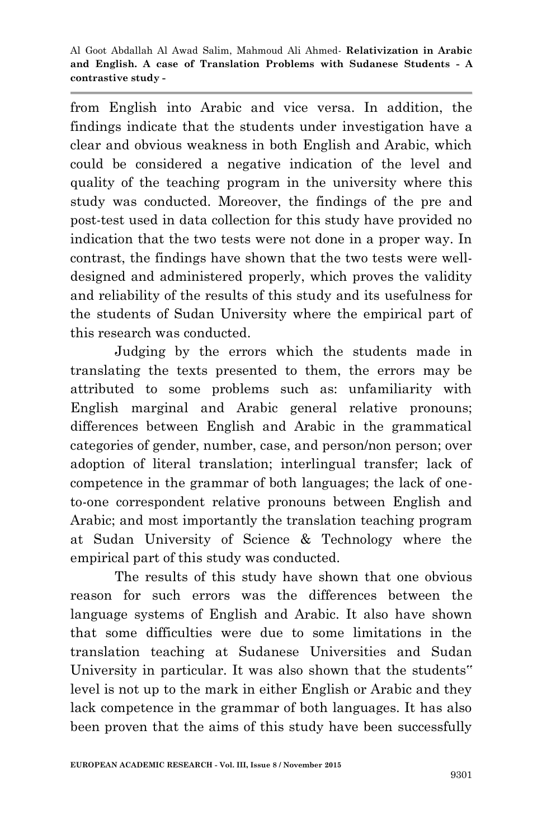from English into Arabic and vice versa. In addition, the findings indicate that the students under investigation have a clear and obvious weakness in both English and Arabic, which could be considered a negative indication of the level and quality of the teaching program in the university where this study was conducted. Moreover, the findings of the pre and post-test used in data collection for this study have provided no indication that the two tests were not done in a proper way. In contrast, the findings have shown that the two tests were welldesigned and administered properly, which proves the validity and reliability of the results of this study and its usefulness for the students of Sudan University where the empirical part of this research was conducted.

Judging by the errors which the students made in translating the texts presented to them, the errors may be attributed to some problems such as: unfamiliarity with English marginal and Arabic general relative pronouns; differences between English and Arabic in the grammatical categories of gender, number, case, and person/non person; over adoption of literal translation; interlingual transfer; lack of competence in the grammar of both languages; the lack of oneto-one correspondent relative pronouns between English and Arabic; and most importantly the translation teaching program at Sudan University of Science & Technology where the empirical part of this study was conducted.

The results of this study have shown that one obvious reason for such errors was the differences between the language systems of English and Arabic. It also have shown that some difficulties were due to some limitations in the translation teaching at Sudanese Universities and Sudan University in particular. It was also shown that the students" level is not up to the mark in either English or Arabic and they lack competence in the grammar of both languages. It has also been proven that the aims of this study have been successfully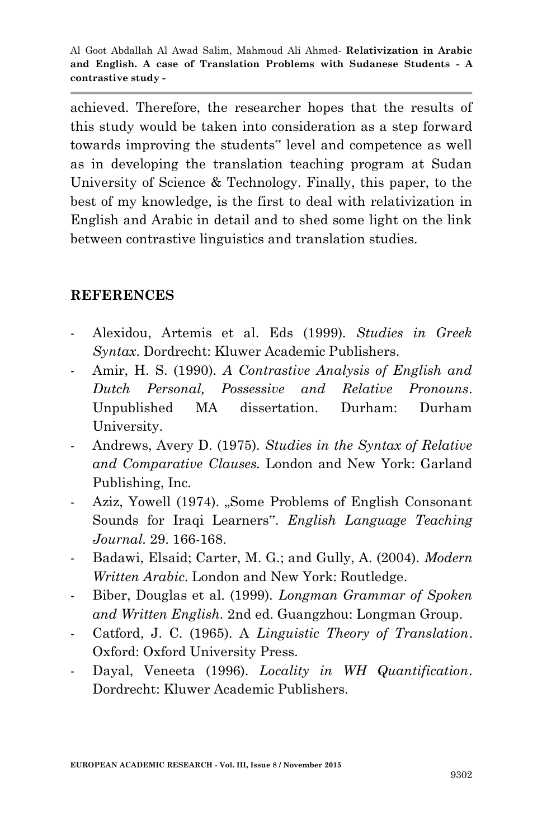achieved. Therefore, the researcher hopes that the results of this study would be taken into consideration as a step forward towards improving the students" level and competence as well as in developing the translation teaching program at Sudan University of Science & Technology. Finally, this paper, to the best of my knowledge, is the first to deal with relativization in English and Arabic in detail and to shed some light on the link between contrastive linguistics and translation studies.

#### **REFERENCES**

- Alexidou, Artemis et al. Eds (1999). *Studies in Greek Syntax*. Dordrecht: Kluwer Academic Publishers.
- Amir, H. S. (1990). *A Contrastive Analysis of English and Dutch Personal, Possessive and Relative Pronouns*. Unpublished MA dissertation. Durham: Durham University.
- Andrews, Avery D. (1975). *Studies in the Syntax of Relative and Comparative Clauses.* London and New York: Garland Publishing, Inc.
- Aziz, Yowell (1974). "Some Problems of English Consonant Sounds for Iraqi Learners". *English Language Teaching Journal.* 29. 166-168.
- Badawi, Elsaid; Carter, M. G.; and Gully, A. (2004). *Modern Written Arabic*. London and New York: Routledge.
- Biber, Douglas et al. (1999). *Longman Grammar of Spoken and Written English.* 2nd ed. Guangzhou: Longman Group.
- Catford, J. C. (1965). A *Linguistic Theory of Translation*. Oxford: Oxford University Press.
- Dayal, Veneeta (1996). *Locality in WH Quantification*. Dordrecht: Kluwer Academic Publishers.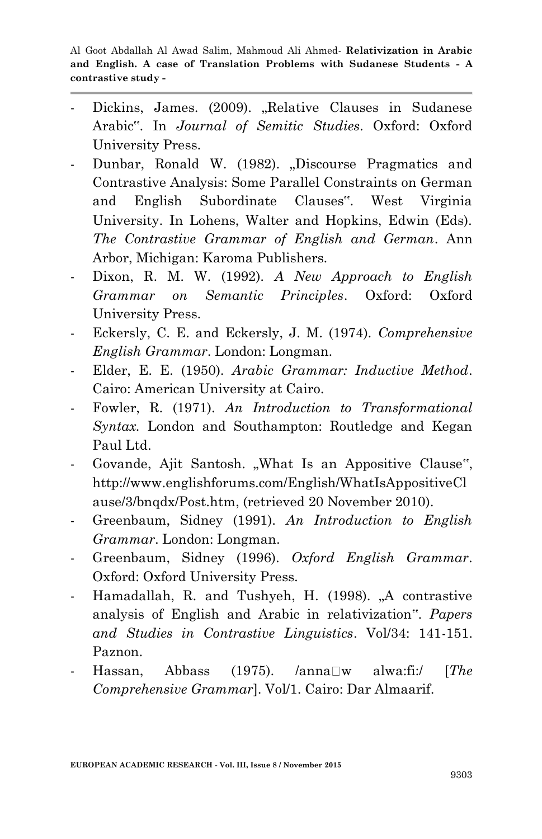- Dickins, James. (2009). ..Relative Clauses in Sudanese Arabic". In *Journal of Semitic Studies*. Oxford: Oxford University Press.
- Dunbar, Ronald W. (1982). "Discourse Pragmatics and Contrastive Analysis: Some Parallel Constraints on German and English Subordinate Clauses". West Virginia University. In Lohens, Walter and Hopkins, Edwin (Eds). *The Contrastive Grammar of English and German*. Ann Arbor, Michigan: Karoma Publishers.
- Dixon, R. M. W. (1992). *A New Approach to English Grammar on Semantic Principles*. Oxford: Oxford University Press.
- Eckersly, C. E. and Eckersly, J. M. (1974). *Comprehensive English Grammar*. London: Longman.
- Elder, E. E. (1950). *Arabic Grammar: Inductive Method*. Cairo: American University at Cairo.
- Fowler, R. (1971). *An Introduction to Transformational Syntax.* London and Southampton: Routledge and Kegan Paul Ltd.
- Govande, Ajit Santosh. "What Is an Appositive Clause", http://www.englishforums.com/English/WhatIsAppositiveCl ause/3/bnqdx/Post.htm, (retrieved 20 November 2010).
- Greenbaum, Sidney (1991). *An Introduction to English Grammar*. London: Longman.
- Greenbaum, Sidney (1996). *Oxford English Grammar*. Oxford: Oxford University Press.
- Hamadallah, R. and Tushyeh, H. (1998). "A contrastive analysis of English and Arabic in relativization". *Papers and Studies in Contrastive Linguistics*. Vol/34: 141-151. Paznon.
- Hassan, Abbass (1975). /anna w alwa:fi:/ [*The Comprehensive Grammar*]. Vol/1. Cairo: Dar Almaarif.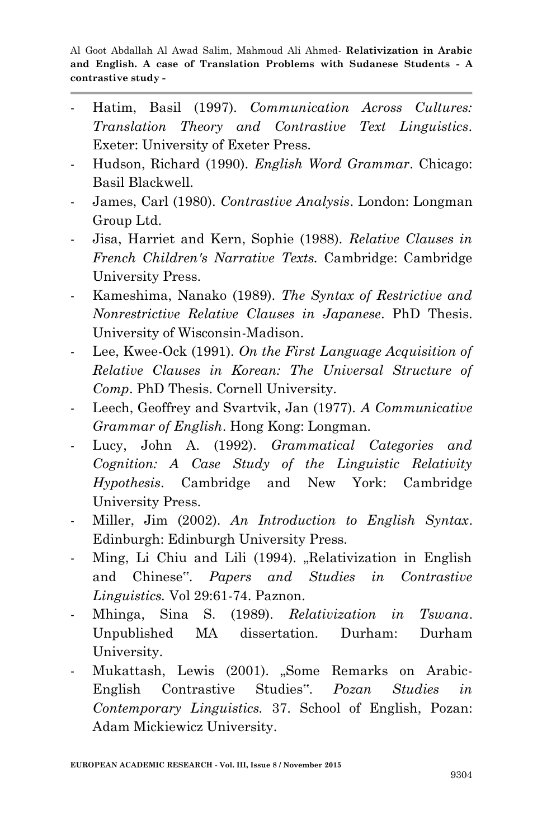- Hatim, Basil (1997). *Communication Across Cultures: Translation Theory and Contrastive Text Linguistics*. Exeter: University of Exeter Press.
- Hudson, Richard (1990). *English Word Grammar*. Chicago: Basil Blackwell.
- James, Carl (1980). *Contrastive Analysis*. London: Longman Group Ltd.
- Jisa, Harriet and Kern, Sophie (1988). *Relative Clauses in French Children's Narrative Texts.* Cambridge: Cambridge University Press.
- Kameshima, Nanako (1989). *The Syntax of Restrictive and Nonrestrictive Relative Clauses in Japanese*. PhD Thesis. University of Wisconsin-Madison.
- Lee, Kwee-Ock (1991). *On the First Language Acquisition of Relative Clauses in Korean: The Universal Structure of Comp*. PhD Thesis. Cornell University.
- Leech, Geoffrey and Svartvik, Jan (1977). *A Communicative Grammar of English*. Hong Kong: Longman.
- Lucy, John A. (1992). *Grammatical Categories and Cognition: A Case Study of the Linguistic Relativity Hypothesis*. Cambridge and New York: Cambridge University Press.
- Miller, Jim (2002). *An Introduction to English Syntax*. Edinburgh: Edinburgh University Press.
- Ming, Li Chiu and Lili (1994). "Relativization in English and Chinese". *Papers and Studies in Contrastive Linguistics.* Vol 29:61-74. Paznon.
- Mhinga, Sina S. (1989). *Relativization in Tswana*. Unpublished MA dissertation. Durham: Durham University.
- Mukattash, Lewis (2001). "Some Remarks on Arabic-English Contrastive Studies". *Pozan Studies in Contemporary Linguistics.* 37. School of English, Pozan: Adam Mickiewicz University.